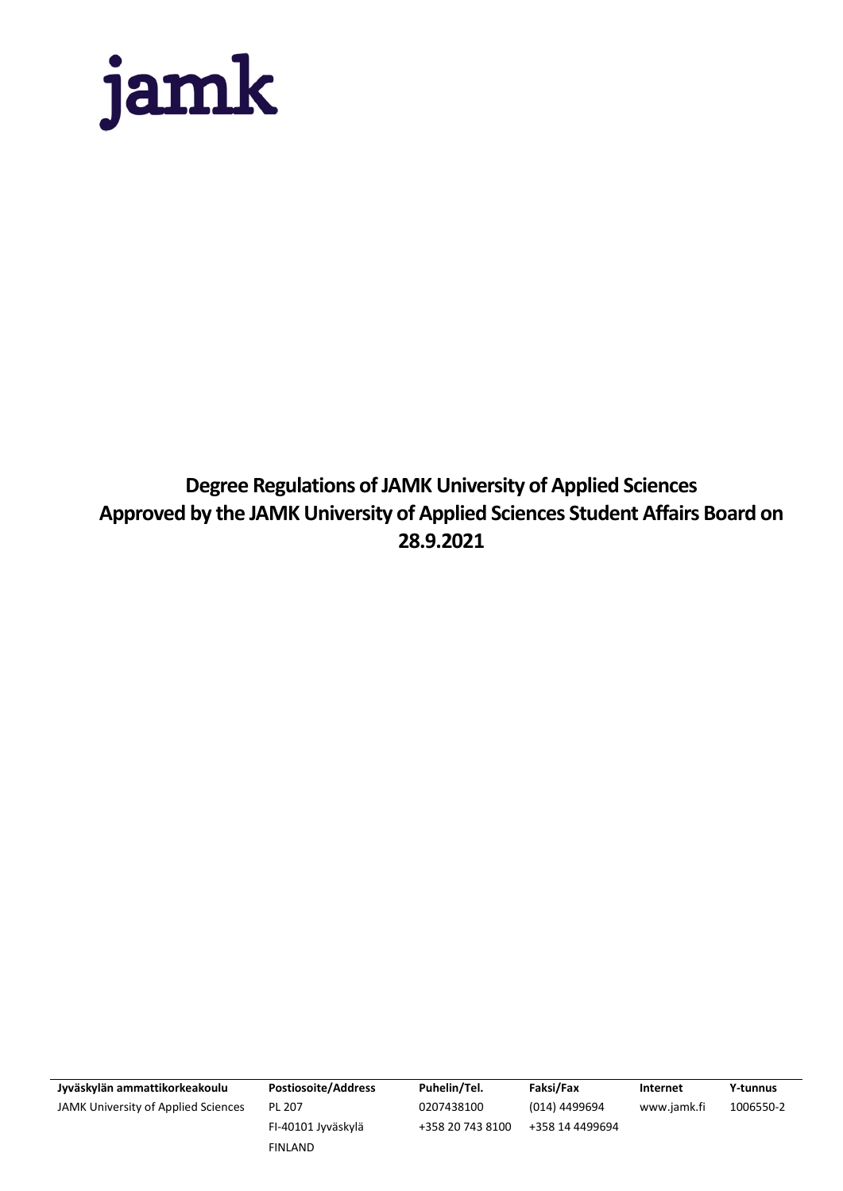

# **Degree Regulations of JAMK University of Applied Sciences Approved by the JAMK University of Applied Sciences Student Affairs Board on 28.9.2021**

FI-40101 Jyväskylä +358 20 743 8100 +358 14 4499694 FINLAND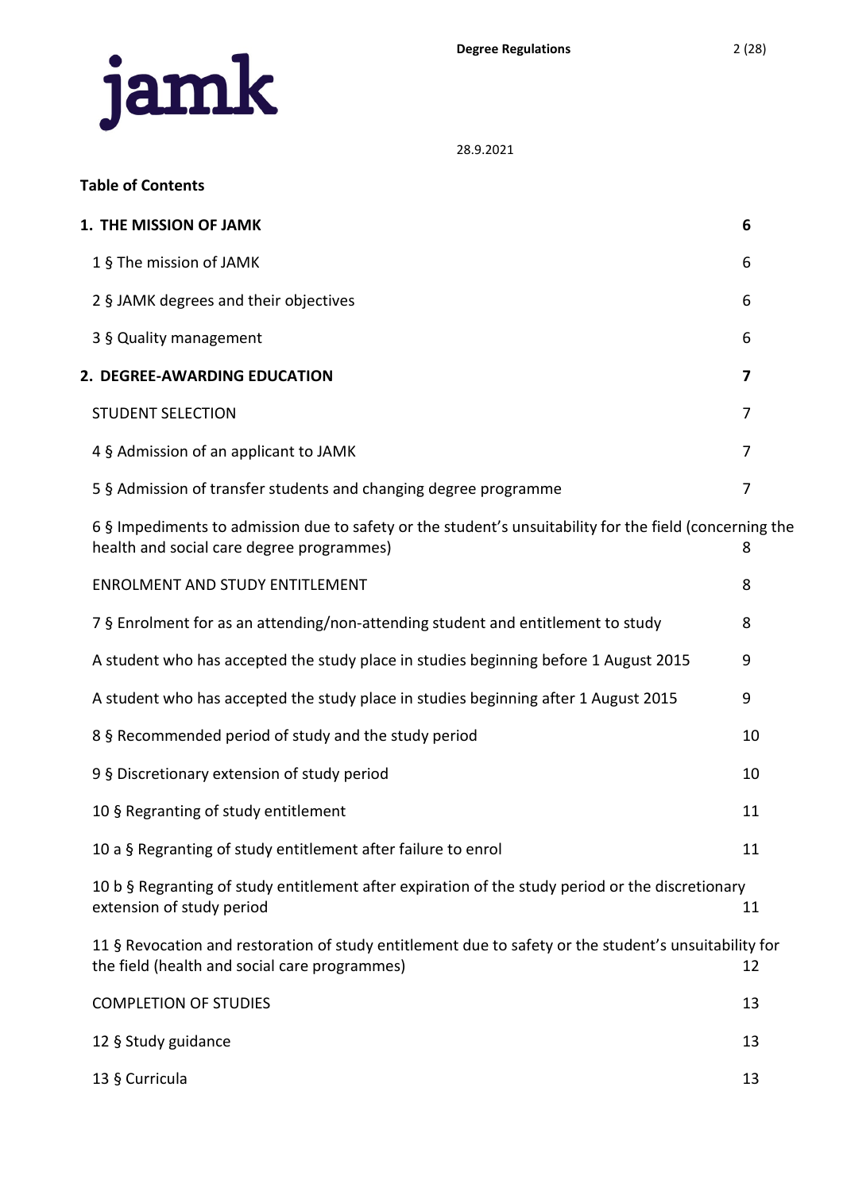

# **Table of Contents**

| 1. THE MISSION OF JAMK                                                                                                                                 | 6  |
|--------------------------------------------------------------------------------------------------------------------------------------------------------|----|
| 1 § The mission of JAMK                                                                                                                                | 6  |
| 2 § JAMK degrees and their objectives                                                                                                                  | 6  |
| 3 § Quality management                                                                                                                                 | 6  |
| 2. DEGREE-AWARDING EDUCATION                                                                                                                           | 7  |
| <b>STUDENT SELECTION</b>                                                                                                                               | 7  |
| 4 § Admission of an applicant to JAMK                                                                                                                  | 7  |
| 5 § Admission of transfer students and changing degree programme                                                                                       | 7  |
| 6 § Impediments to admission due to safety or the student's unsuitability for the field (concerning the<br>health and social care degree programmes)   | 8  |
| <b>ENROLMENT AND STUDY ENTITLEMENT</b>                                                                                                                 | 8  |
| 7 § Enrolment for as an attending/non-attending student and entitlement to study                                                                       | 8  |
| A student who has accepted the study place in studies beginning before 1 August 2015                                                                   | 9  |
| A student who has accepted the study place in studies beginning after 1 August 2015                                                                    | 9  |
| 8 § Recommended period of study and the study period                                                                                                   | 10 |
| 9 § Discretionary extension of study period                                                                                                            | 10 |
| 10 § Regranting of study entitlement                                                                                                                   | 11 |
| 10 a § Regranting of study entitlement after failure to enrol                                                                                          | 11 |
| 10 b § Regranting of study entitlement after expiration of the study period or the discretionary<br>extension of study period                          | 11 |
| 11 § Revocation and restoration of study entitlement due to safety or the student's unsuitability for<br>the field (health and social care programmes) | 12 |
| <b>COMPLETION OF STUDIES</b>                                                                                                                           | 13 |
| 12 § Study guidance                                                                                                                                    | 13 |
| 13 § Curricula                                                                                                                                         | 13 |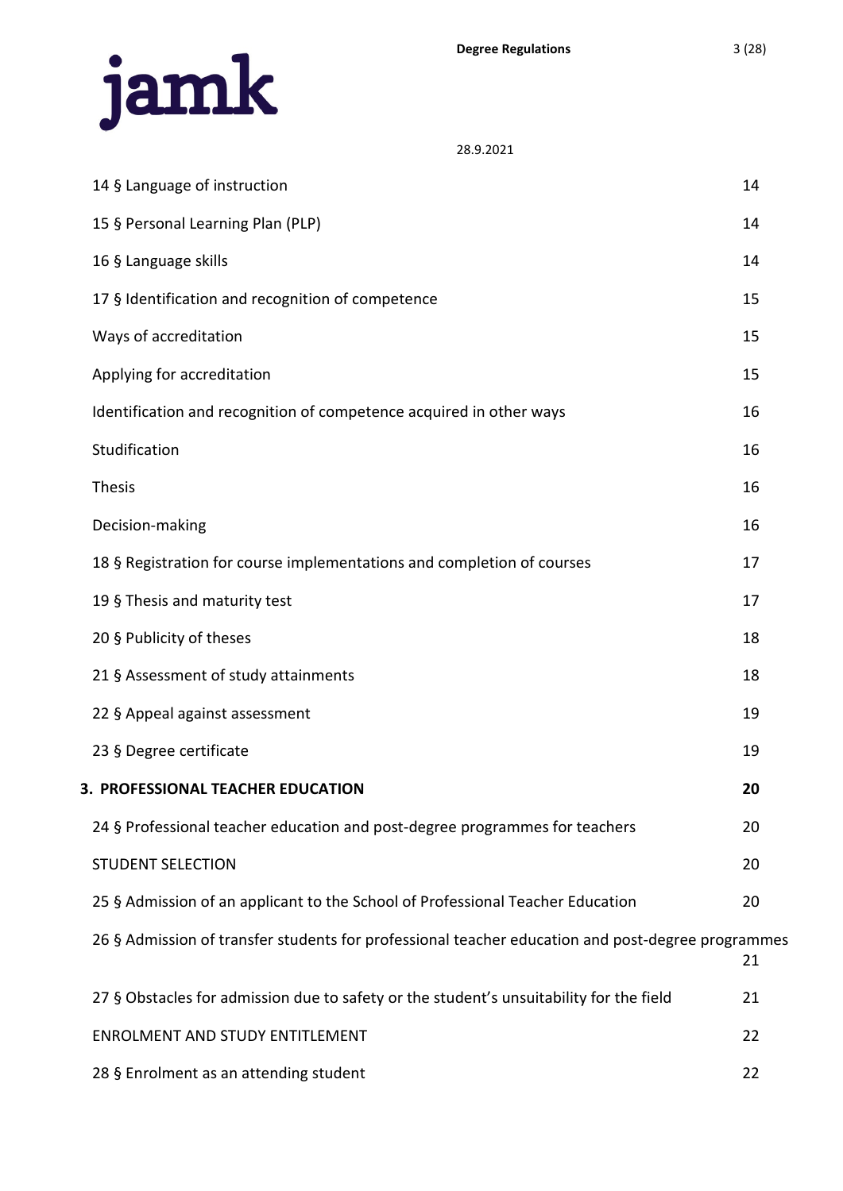

| 14 § Language of instruction                                                                      | 14 |
|---------------------------------------------------------------------------------------------------|----|
| 15 § Personal Learning Plan (PLP)                                                                 | 14 |
| 16 § Language skills                                                                              | 14 |
| 17 § Identification and recognition of competence                                                 | 15 |
| Ways of accreditation                                                                             | 15 |
| Applying for accreditation                                                                        | 15 |
| Identification and recognition of competence acquired in other ways                               | 16 |
| Studification                                                                                     | 16 |
| <b>Thesis</b>                                                                                     | 16 |
| Decision-making                                                                                   | 16 |
| 18 § Registration for course implementations and completion of courses                            | 17 |
| 19 § Thesis and maturity test                                                                     | 17 |
| 20 § Publicity of theses                                                                          | 18 |
| 21 § Assessment of study attainments                                                              | 18 |
| 22 § Appeal against assessment                                                                    | 19 |
| 23 § Degree certificate                                                                           | 19 |
| 3. PROFESSIONAL TEACHER EDUCATION                                                                 | 20 |
| 24 § Professional teacher education and post-degree programmes for teachers                       | 20 |
| <b>STUDENT SELECTION</b>                                                                          | 20 |
| 25 § Admission of an applicant to the School of Professional Teacher Education                    | 20 |
| 26 § Admission of transfer students for professional teacher education and post-degree programmes | 21 |
| 27 § Obstacles for admission due to safety or the student's unsuitability for the field           | 21 |
| <b>ENROLMENT AND STUDY ENTITLEMENT</b>                                                            | 22 |
| 28 § Enrolment as an attending student                                                            | 22 |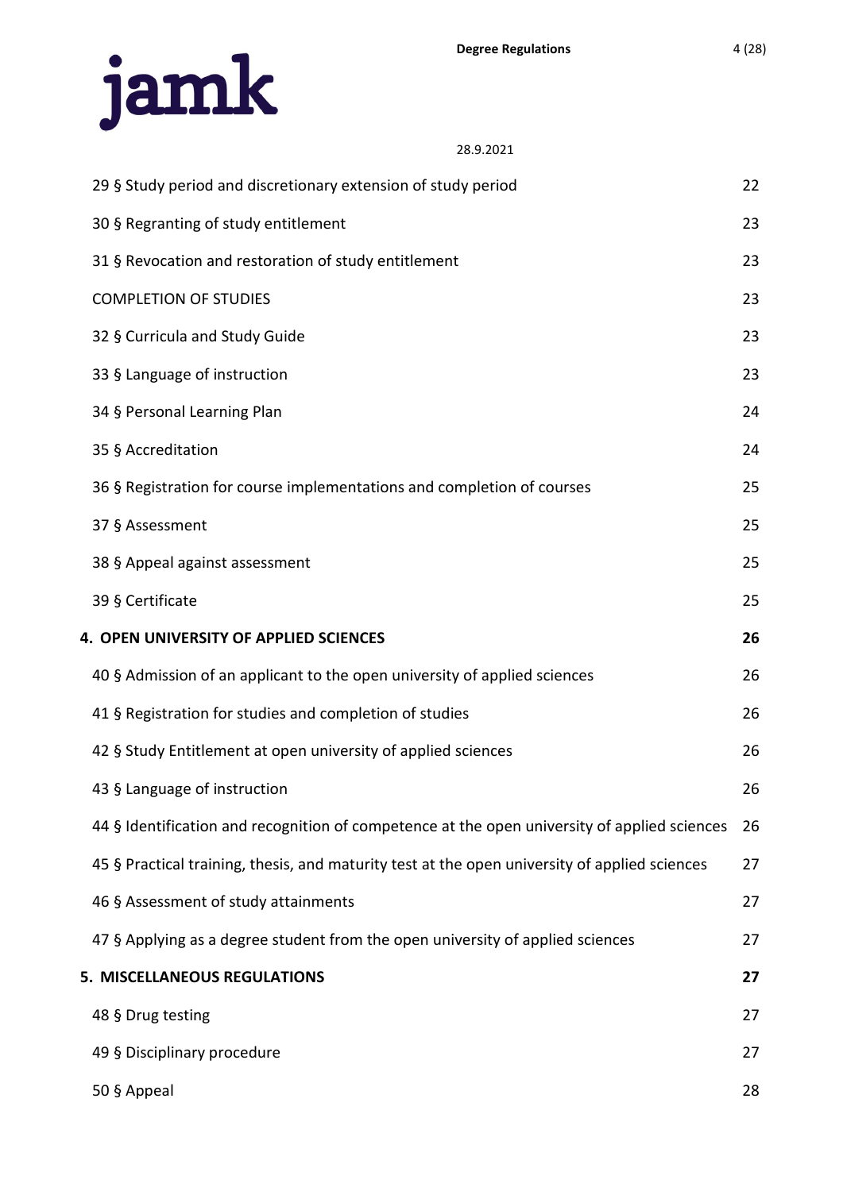

| 28.9.2021 |  |
|-----------|--|
|           |  |

| 29 § Study period and discretionary extension of study period                                 | 22 |
|-----------------------------------------------------------------------------------------------|----|
| 30 § Regranting of study entitlement                                                          | 23 |
| 31 § Revocation and restoration of study entitlement                                          | 23 |
| <b>COMPLETION OF STUDIES</b>                                                                  | 23 |
| 32 § Curricula and Study Guide                                                                | 23 |
| 33 § Language of instruction                                                                  | 23 |
| 34 § Personal Learning Plan                                                                   | 24 |
| 35 § Accreditation                                                                            | 24 |
| 36 § Registration for course implementations and completion of courses                        | 25 |
| 37 § Assessment                                                                               | 25 |
| 38 § Appeal against assessment                                                                | 25 |
| 39 § Certificate                                                                              | 25 |
| 4. OPEN UNIVERSITY OF APPLIED SCIENCES                                                        | 26 |
| 40 § Admission of an applicant to the open university of applied sciences                     | 26 |
| 41 § Registration for studies and completion of studies                                       | 26 |
| 42 § Study Entitlement at open university of applied sciences                                 | 26 |
| 43 § Language of instruction                                                                  | 26 |
| 44 § Identification and recognition of competence at the open university of applied sciences  | 26 |
| 45 § Practical training, thesis, and maturity test at the open university of applied sciences | 27 |
| 46 § Assessment of study attainments                                                          | 27 |
| 47 § Applying as a degree student from the open university of applied sciences                | 27 |
| 5. MISCELLANEOUS REGULATIONS                                                                  | 27 |
| 48 § Drug testing                                                                             | 27 |
| 49 § Disciplinary procedure                                                                   | 27 |
| 50 § Appeal                                                                                   | 28 |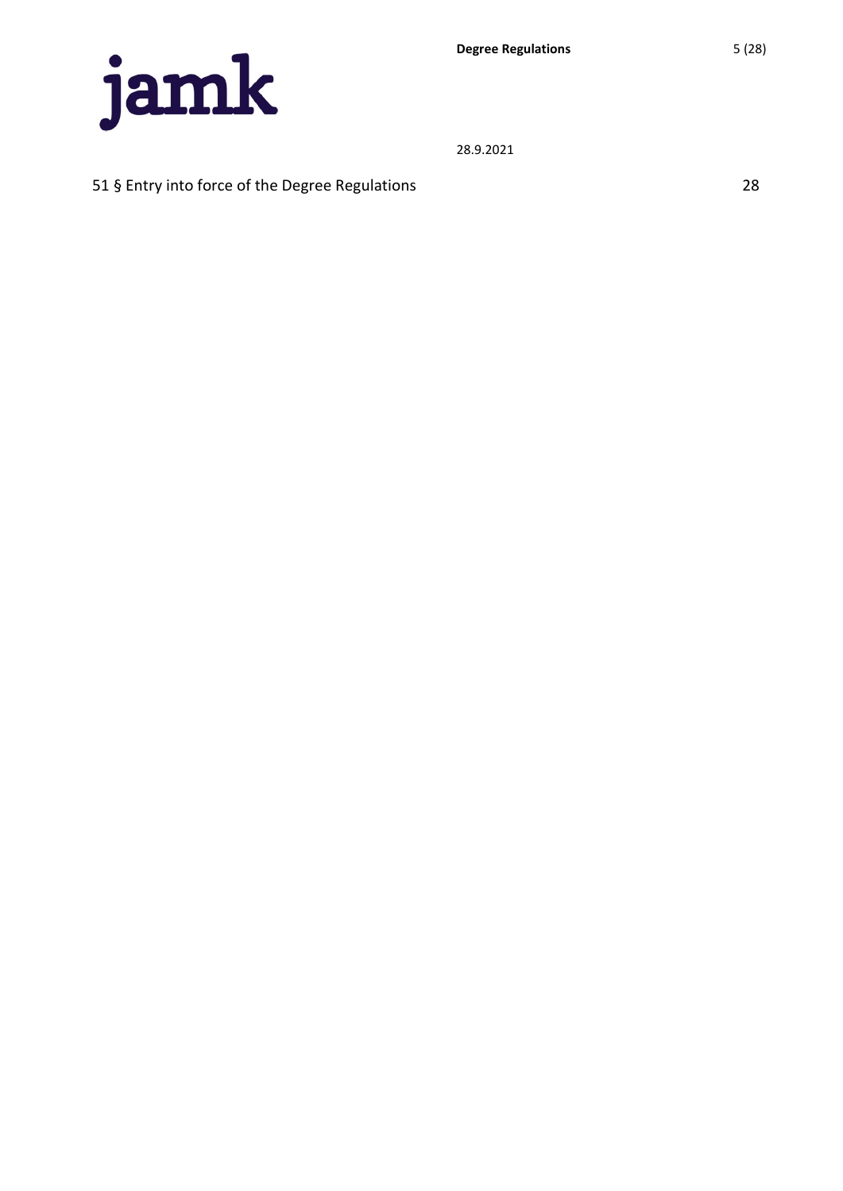

[51 § Entry into force of the Degree Regulations](#page-27-1) 28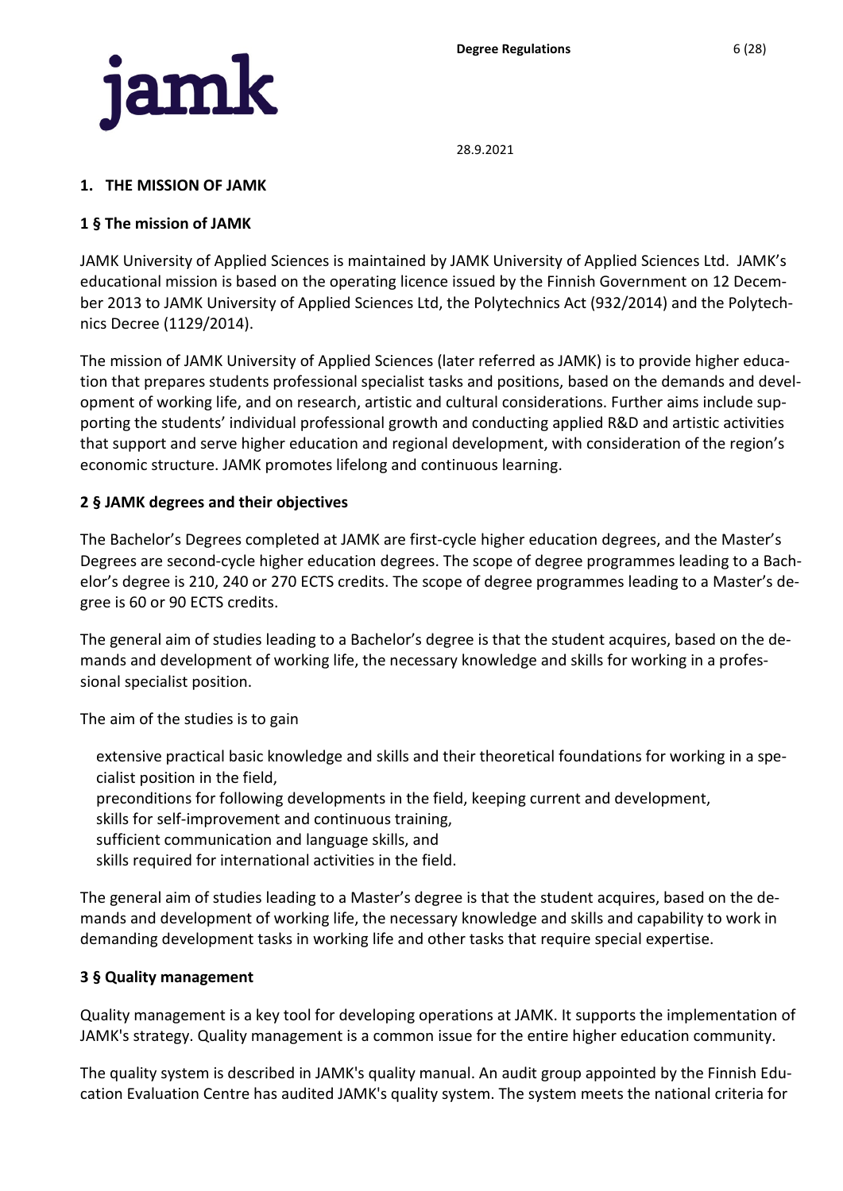

# <span id="page-5-0"></span>**1. THE MISSION OF JAMK**

# <span id="page-5-1"></span>**1 § The mission of JAMK**

JAMK University of Applied Sciences is maintained by JAMK University of Applied Sciences Ltd. JAMK's educational mission is based on the operating licence issued by the Finnish Government on 12 December 2013 to JAMK University of Applied Sciences Ltd, the Polytechnics Act (932/2014) and the Polytechnics Decree (1129/2014).

The mission of JAMK University of Applied Sciences (later referred as JAMK) is to provide higher education that prepares students professional specialist tasks and positions, based on the demands and development of working life, and on research, artistic and cultural considerations. Further aims include supporting the students' individual professional growth and conducting applied R&D and artistic activities that support and serve higher education and regional development, with consideration of the region's economic structure. JAMK promotes lifelong and continuous learning.

# <span id="page-5-2"></span>**2 § JAMK degrees and their objectives**

The Bachelor's Degrees completed at JAMK are first-cycle higher education degrees, and the Master's Degrees are second-cycle higher education degrees. The scope of degree programmes leading to a Bachelor's degree is 210, 240 or 270 ECTS credits. The scope of degree programmes leading to a Master's degree is 60 or 90 ECTS credits.

The general aim of studies leading to a Bachelor's degree is that the student acquires, based on the demands and development of working life, the necessary knowledge and skills for working in a professional specialist position.

The aim of the studies is to gain

extensive practical basic knowledge and skills and their theoretical foundations for working in a specialist position in the field,

- preconditions for following developments in the field, keeping current and development,
- skills for self-improvement and continuous training,
- sufficient communication and language skills, and
- skills required for international activities in the field.

The general aim of studies leading to a Master's degree is that the student acquires, based on the demands and development of working life, the necessary knowledge and skills and capability to work in demanding development tasks in working life and other tasks that require special expertise.

# <span id="page-5-3"></span>**3 § Quality management**

Quality management is a key tool for developing operations at JAMK. It supports the implementation of JAMK's strategy. Quality management is a common issue for the entire higher education community.

The quality system is described in JAMK's quality manual. An audit group appointed by the Finnish Education Evaluation Centre has audited JAMK's quality system. The system meets the national criteria for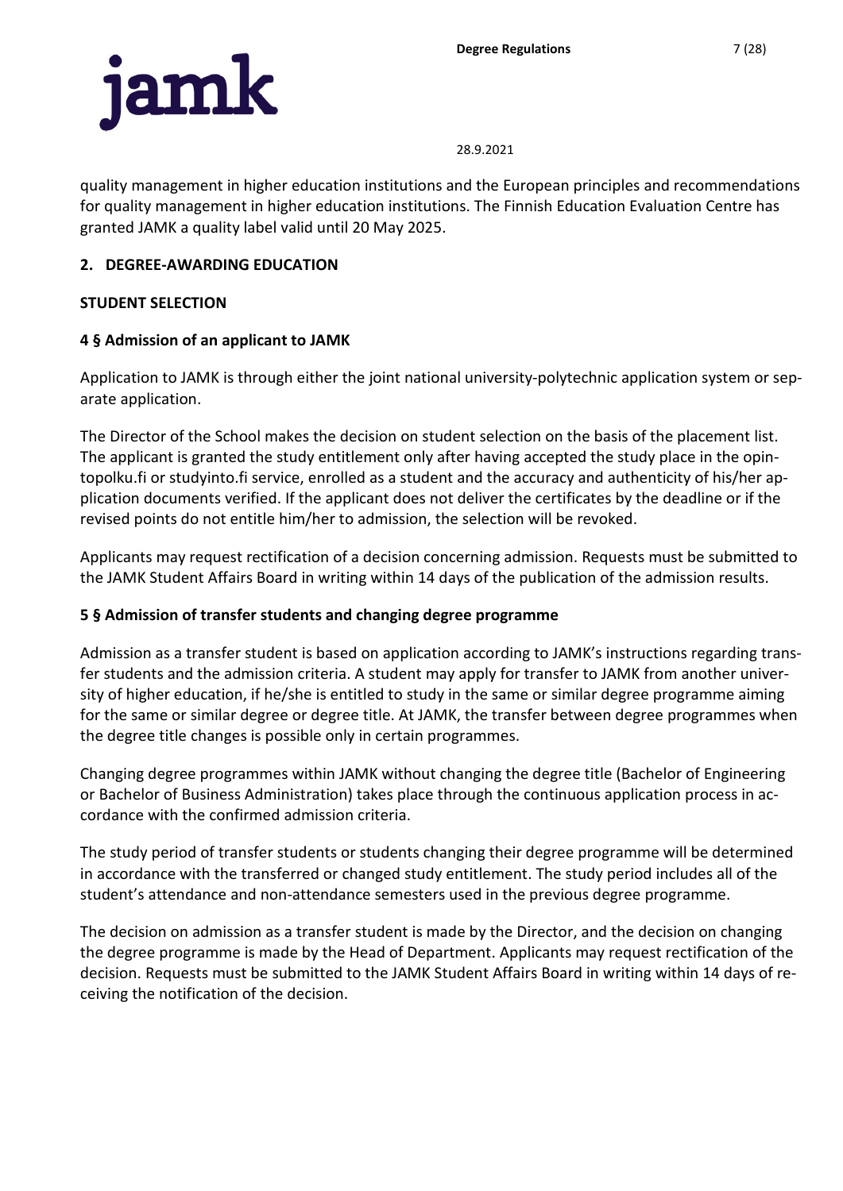

quality management in higher education institutions and the European principles and recommendations for quality management in higher education institutions. The Finnish Education Evaluation Centre has granted JAMK a quality label valid until 20 May 2025.

# <span id="page-6-0"></span>**2. DEGREE-AWARDING EDUCATION**

# <span id="page-6-1"></span>**STUDENT SELECTION**

# <span id="page-6-2"></span>**4 § Admission of an applicant to JAMK**

Application to JAMK is through either the joint national university-polytechnic application system or separate application.

The Director of the School makes the decision on student selection on the basis of the placement list. The applicant is granted the study entitlement only after having accepted the study place in the opintopolku.fi or studyinto.fi service, enrolled as a student and the accuracy and authenticity of his/her application documents verified. If the applicant does not deliver the certificates by the deadline or if the revised points do not entitle him/her to admission, the selection will be revoked.

Applicants may request rectification of a decision concerning admission. Requests must be submitted to the JAMK Student Affairs Board in writing within 14 days of the publication of the admission results.

# <span id="page-6-3"></span>**5 § Admission of transfer students and changing degree programme**

Admission as a transfer student is based on application according to JAMK's instructions regarding transfer students and the admission criteria. A student may apply for transfer to JAMK from another university of higher education, if he/she is entitled to study in the same or similar degree programme aiming for the same or similar degree or degree title. At JAMK, the transfer between degree programmes when the degree title changes is possible only in certain programmes.

Changing degree programmes within JAMK without changing the degree title (Bachelor of Engineering or Bachelor of Business Administration) takes place through the continuous application process in accordance with the confirmed admission criteria.

The study period of transfer students or students changing their degree programme will be determined in accordance with the transferred or changed study entitlement. The study period includes all of the student's attendance and non-attendance semesters used in the previous degree programme.

The decision on admission as a transfer student is made by the Director, and the decision on changing the degree programme is made by the Head of Department. Applicants may request rectification of the decision. Requests must be submitted to the JAMK Student Affairs Board in writing within 14 days of receiving the notification of the decision.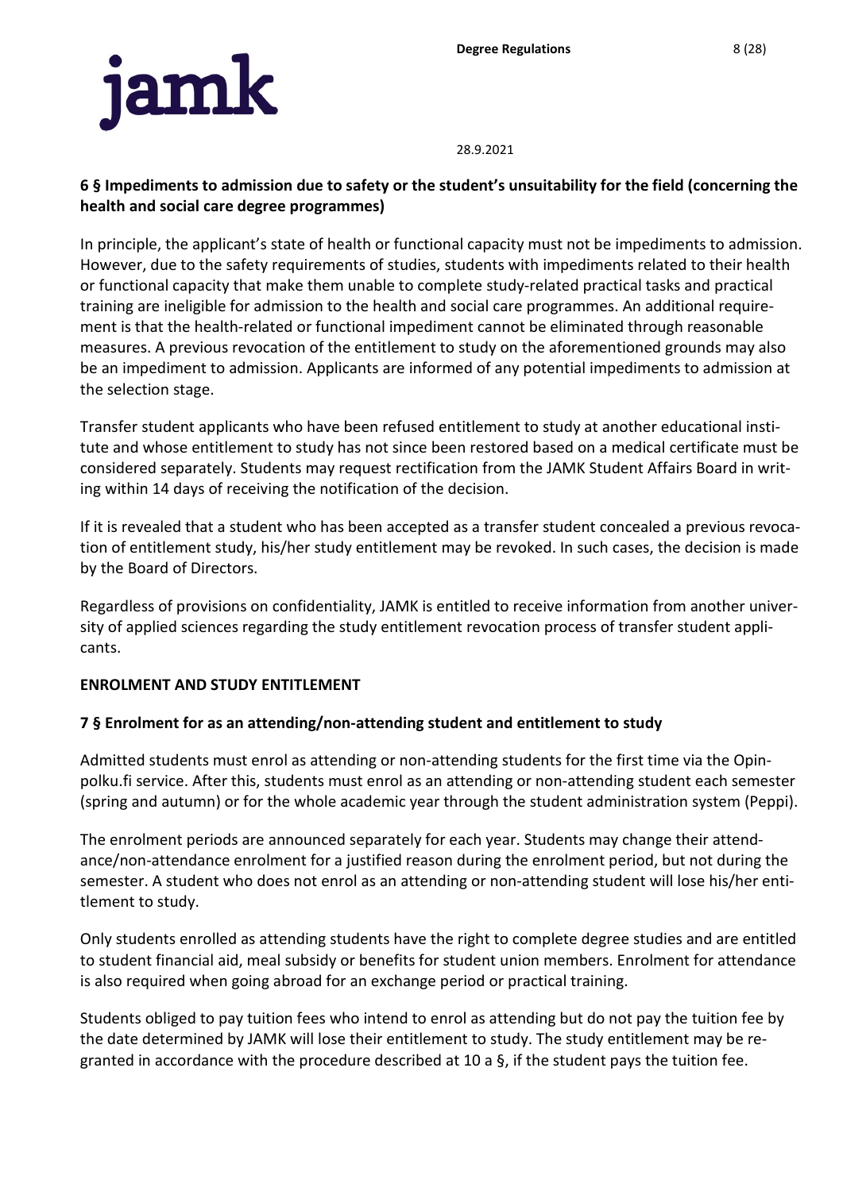

# <span id="page-7-0"></span>**6 § Impediments to admission due to safety or the student's unsuitability for the field (concerning the health and social care degree programmes)**

In principle, the applicant's state of health or functional capacity must not be impediments to admission. However, due to the safety requirements of studies, students with impediments related to their health or functional capacity that make them unable to complete study-related practical tasks and practical training are ineligible for admission to the health and social care programmes. An additional requirement is that the health-related or functional impediment cannot be eliminated through reasonable measures. A previous revocation of the entitlement to study on the aforementioned grounds may also be an impediment to admission. Applicants are informed of any potential impediments to admission at the selection stage.

Transfer student applicants who have been refused entitlement to study at another educational institute and whose entitlement to study has not since been restored based on a medical certificate must be considered separately. Students may request rectification from the JAMK Student Affairs Board in writing within 14 days of receiving the notification of the decision.

If it is revealed that a student who has been accepted as a transfer student concealed a previous revocation of entitlement study, his/her study entitlement may be revoked. In such cases, the decision is made by the Board of Directors.

Regardless of provisions on confidentiality, JAMK is entitled to receive information from another university of applied sciences regarding the study entitlement revocation process of transfer student applicants.

# <span id="page-7-1"></span>**ENROLMENT AND STUDY ENTITLEMENT**

# <span id="page-7-2"></span>**7 § Enrolment for as an attending/non-attending student and entitlement to study**

Admitted students must enrol as attending or non-attending students for the first time via the Opinpolku.fi service. After this, students must enrol as an attending or non-attending student each semester (spring and autumn) or for the whole academic year through the student administration system (Peppi).

The enrolment periods are announced separately for each year. Students may change their attendance/non-attendance enrolment for a justified reason during the enrolment period, but not during the semester. A student who does not enrol as an attending or non-attending student will lose his/her entitlement to study.

Only students enrolled as attending students have the right to complete degree studies and are entitled to student financial aid, meal subsidy or benefits for student union members. Enrolment for attendance is also required when going abroad for an exchange period or practical training.

Students obliged to pay tuition fees who intend to enrol as attending but do not pay the tuition fee by the date determined by JAMK will lose their entitlement to study. The study entitlement may be regranted in accordance with the procedure described at 10 a §, if the student pays the tuition fee.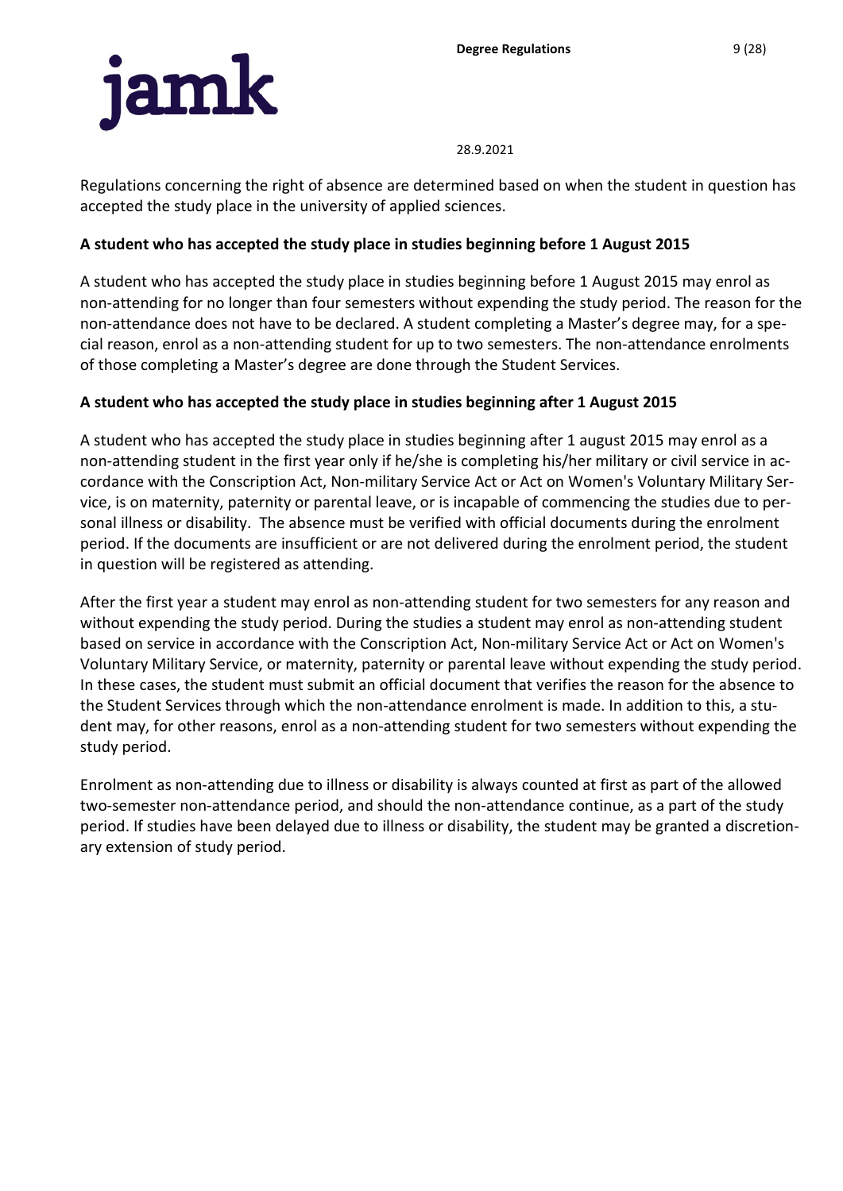

Regulations concerning the right of absence are determined based on when the student in question has accepted the study place in the university of applied sciences.

### <span id="page-8-0"></span>**A student who has accepted the study place in studies beginning before 1 August 2015**

A student who has accepted the study place in studies beginning before 1 August 2015 may enrol as non-attending for no longer than four semesters without expending the study period. The reason for the non-attendance does not have to be declared. A student completing a Master's degree may, for a special reason, enrol as a non-attending student for up to two semesters. The non-attendance enrolments of those completing a Master's degree are done through the Student Services.

### <span id="page-8-1"></span>**A student who has accepted the study place in studies beginning after 1 August 2015**

A student who has accepted the study place in studies beginning after 1 august 2015 may enrol as a non-attending student in the first year only if he/she is completing his/her military or civil service in accordance with the Conscription Act, Non-military Service Act or Act on Women's Voluntary Military Service, is on maternity, paternity or parental leave, or is incapable of commencing the studies due to personal illness or disability. The absence must be verified with official documents during the enrolment period. If the documents are insufficient or are not delivered during the enrolment period, the student in question will be registered as attending.

After the first year a student may enrol as non-attending student for two semesters for any reason and without expending the study period. During the studies a student may enrol as non-attending student based on service in accordance with the Conscription Act, Non-military Service Act or Act on Women's Voluntary Military Service, or maternity, paternity or parental leave without expending the study period. In these cases, the student must submit an official document that verifies the reason for the absence to the Student Services through which the non-attendance enrolment is made. In addition to this, a student may, for other reasons, enrol as a non-attending student for two semesters without expending the study period.

Enrolment as non-attending due to illness or disability is always counted at first as part of the allowed two-semester non-attendance period, and should the non-attendance continue, as a part of the study period. If studies have been delayed due to illness or disability, the student may be granted a discretionary extension of study period.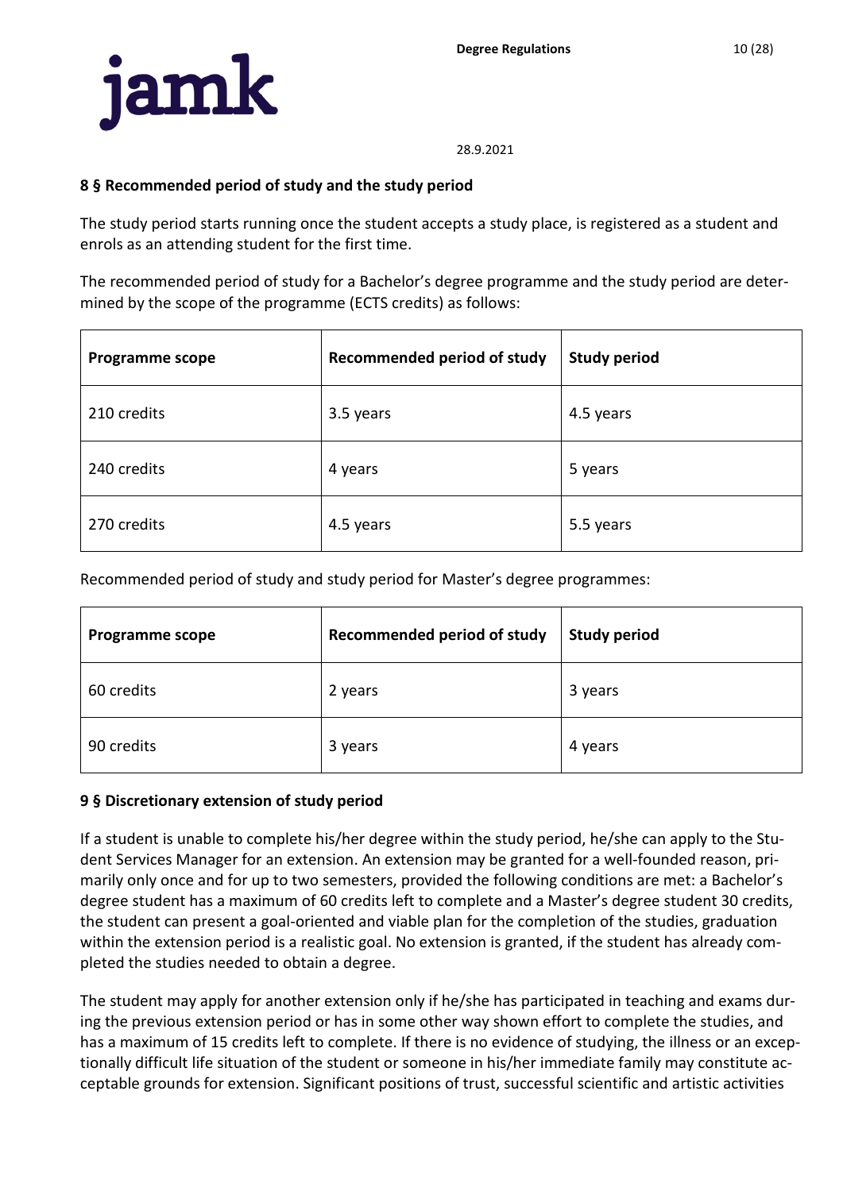

# <span id="page-9-0"></span>**8 § Recommended period of study and the study period**

The study period starts running once the student accepts a study place, is registered as a student and enrols as an attending student for the first time.

The recommended period of study for a Bachelor's degree programme and the study period are determined by the scope of the programme (ECTS credits) as follows:

| <b>Programme scope</b> | <b>Recommended period of study</b> | <b>Study period</b> |
|------------------------|------------------------------------|---------------------|
| 210 credits            | 3.5 years                          | 4.5 years           |
| 240 credits            | 4 years                            | 5 years             |
| 270 credits            | 4.5 years                          | 5.5 years           |

Recommended period of study and study period for Master's degree programmes:

| <b>Programme scope</b> | <b>Recommended period of study</b> | <b>Study period</b> |
|------------------------|------------------------------------|---------------------|
| 60 credits             | 2 years                            | 3 years             |
| 90 credits             | 3 years                            | 4 years             |

#### <span id="page-9-1"></span>**9 § Discretionary extension of study period**

If a student is unable to complete his/her degree within the study period, he/she can apply to the Student Services Manager for an extension. An extension may be granted for a well-founded reason, primarily only once and for up to two semesters, provided the following conditions are met: a Bachelor's degree student has a maximum of 60 credits left to complete and a Master's degree student 30 credits, the student can present a goal-oriented and viable plan for the completion of the studies, graduation within the extension period is a realistic goal. No extension is granted, if the student has already completed the studies needed to obtain a degree.

The student may apply for another extension only if he/she has participated in teaching and exams during the previous extension period or has in some other way shown effort to complete the studies, and has a maximum of 15 credits left to complete. If there is no evidence of studying, the illness or an exceptionally difficult life situation of the student or someone in his/her immediate family may constitute acceptable grounds for extension. Significant positions of trust, successful scientific and artistic activities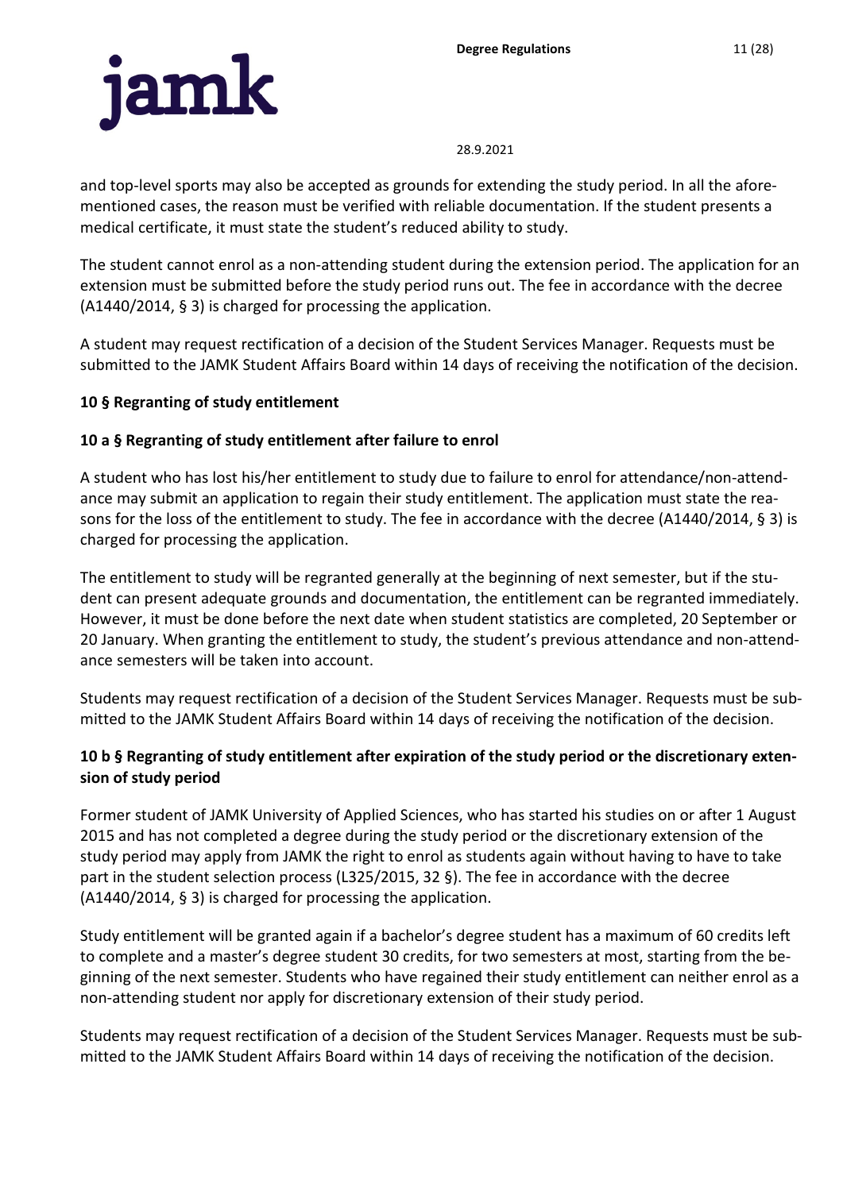

and top-level sports may also be accepted as grounds for extending the study period. In all the aforementioned cases, the reason must be verified with reliable documentation. If the student presents a medical certificate, it must state the student's reduced ability to study.

The student cannot enrol as a non-attending student during the extension period. The application for an extension must be submitted before the study period runs out. The fee in accordance with the decree (A1440/2014, § 3) is charged for processing the application.

A student may request rectification of a decision of the Student Services Manager. Requests must be submitted to the JAMK Student Affairs Board within 14 days of receiving the notification of the decision.

# <span id="page-10-0"></span>**10 § Regranting of study entitlement**

# <span id="page-10-1"></span>**10 a § Regranting of study entitlement after failure to enrol**

A student who has lost his/her entitlement to study due to failure to enrol for attendance/non-attendance may submit an application to regain their study entitlement. The application must state the reasons for the loss of the entitlement to study. The fee in accordance with the decree (A1440/2014, § 3) is charged for processing the application.

The entitlement to study will be regranted generally at the beginning of next semester, but if the student can present adequate grounds and documentation, the entitlement can be regranted immediately. However, it must be done before the next date when student statistics are completed, 20 September or 20 January. When granting the entitlement to study, the student's previous attendance and non-attendance semesters will be taken into account.

Students may request rectification of a decision of the Student Services Manager. Requests must be submitted to the JAMK Student Affairs Board within 14 days of receiving the notification of the decision.

# <span id="page-10-2"></span>**10 b § Regranting of study entitlement after expiration of the study period or the discretionary extension of study period**

Former student of JAMK University of Applied Sciences, who has started his studies on or after 1 August 2015 and has not completed a degree during the study period or the discretionary extension of the study period may apply from JAMK the right to enrol as students again without having to have to take part in the student selection process (L325/2015, 32 §). The fee in accordance with the decree (A1440/2014, § 3) is charged for processing the application.

Study entitlement will be granted again if a bachelor's degree student has a maximum of 60 credits left to complete and a master's degree student 30 credits, for two semesters at most, starting from the beginning of the next semester. Students who have regained their study entitlement can neither enrol as a non-attending student nor apply for discretionary extension of their study period.

Students may request rectification of a decision of the Student Services Manager. Requests must be submitted to the JAMK Student Affairs Board within 14 days of receiving the notification of the decision.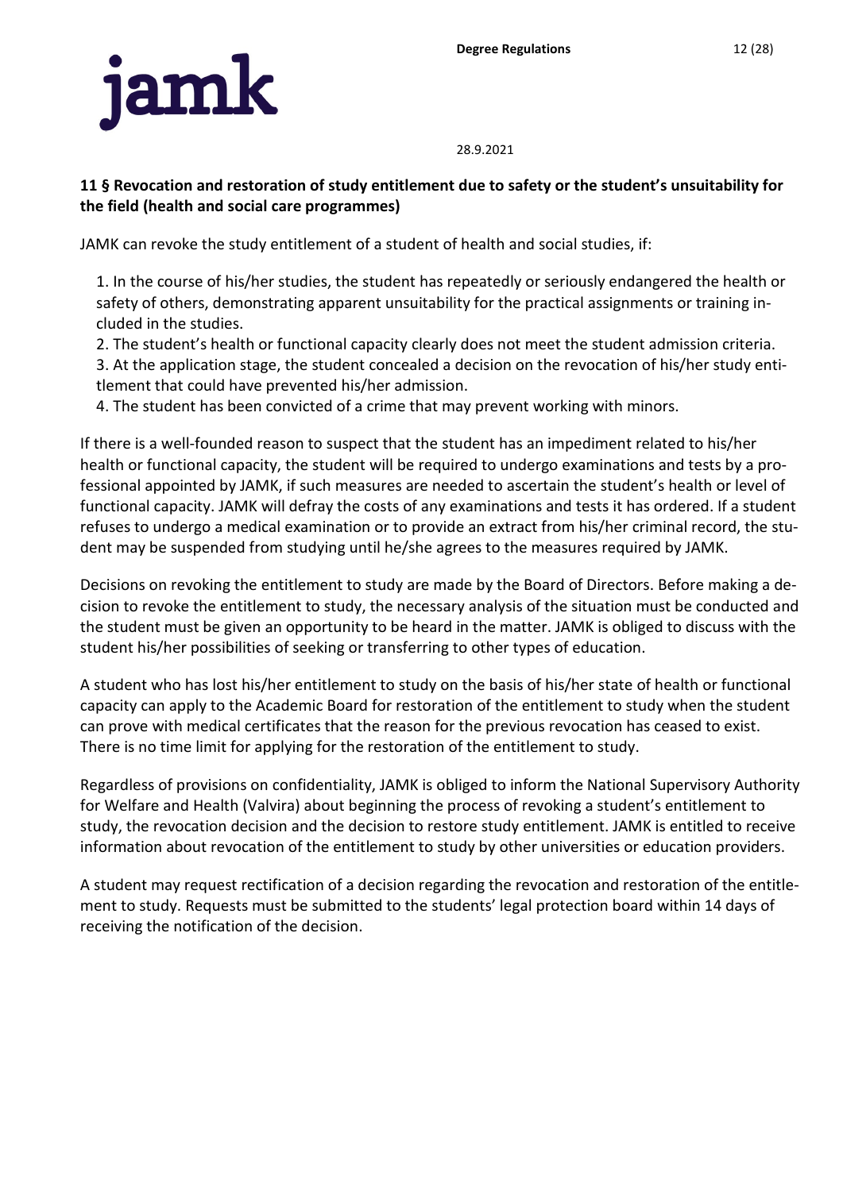

# <span id="page-11-0"></span>**11 § Revocation and restoration of study entitlement due to safety or the student's unsuitability for the field (health and social care programmes)**

JAMK can revoke the study entitlement of a student of health and social studies, if:

1. In the course of his/her studies, the student has repeatedly or seriously endangered the health or safety of others, demonstrating apparent unsuitability for the practical assignments or training included in the studies.

2. The student's health or functional capacity clearly does not meet the student admission criteria. 3. At the application stage, the student concealed a decision on the revocation of his/her study entitlement that could have prevented his/her admission.

4. The student has been convicted of a crime that may prevent working with minors.

If there is a well-founded reason to suspect that the student has an impediment related to his/her health or functional capacity, the student will be required to undergo examinations and tests by a professional appointed by JAMK, if such measures are needed to ascertain the student's health or level of functional capacity. JAMK will defray the costs of any examinations and tests it has ordered. If a student refuses to undergo a medical examination or to provide an extract from his/her criminal record, the student may be suspended from studying until he/she agrees to the measures required by JAMK.

Decisions on revoking the entitlement to study are made by the Board of Directors. Before making a decision to revoke the entitlement to study, the necessary analysis of the situation must be conducted and the student must be given an opportunity to be heard in the matter. JAMK is obliged to discuss with the student his/her possibilities of seeking or transferring to other types of education.

A student who has lost his/her entitlement to study on the basis of his/her state of health or functional capacity can apply to the Academic Board for restoration of the entitlement to study when the student can prove with medical certificates that the reason for the previous revocation has ceased to exist. There is no time limit for applying for the restoration of the entitlement to study.

Regardless of provisions on confidentiality, JAMK is obliged to inform the National Supervisory Authority for Welfare and Health (Valvira) about beginning the process of revoking a student's entitlement to study, the revocation decision and the decision to restore study entitlement. JAMK is entitled to receive information about revocation of the entitlement to study by other universities or education providers.

A student may request rectification of a decision regarding the revocation and restoration of the entitlement to study. Requests must be submitted to the students' legal protection board within 14 days of receiving the notification of the decision.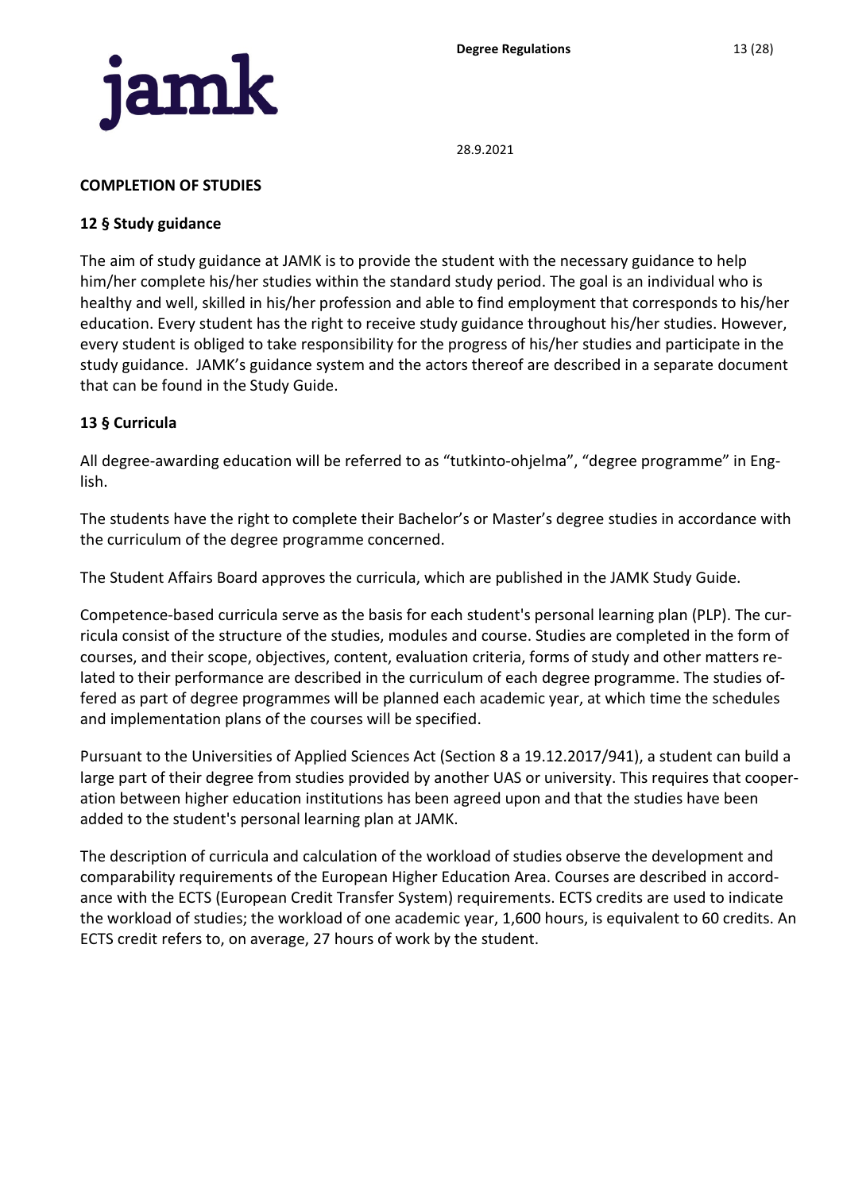

#### <span id="page-12-0"></span>**COMPLETION OF STUDIES**

#### <span id="page-12-1"></span>**12 § Study guidance**

The aim of study guidance at JAMK is to provide the student with the necessary guidance to help him/her complete his/her studies within the standard study period. The goal is an individual who is healthy and well, skilled in his/her profession and able to find employment that corresponds to his/her education. Every student has the right to receive study guidance throughout his/her studies. However, every student is obliged to take responsibility for the progress of his/her studies and participate in the study guidance. JAMK's guidance system and the actors thereof are described in a separate document that can be found in the Study Guide.

### <span id="page-12-2"></span>**13 § Curricula**

All degree-awarding education will be referred to as "tutkinto-ohjelma", "degree programme" in English.

The students have the right to complete their Bachelor's or Master's degree studies in accordance with the curriculum of the degree programme concerned.

The Student Affairs Board approves the curricula, which are published in the JAMK Study Guide.

Competence-based curricula serve as the basis for each student's personal learning plan (PLP). The curricula consist of the structure of the studies, modules and course. Studies are completed in the form of courses, and their scope, objectives, content, evaluation criteria, forms of study and other matters related to their performance are described in the curriculum of each degree programme. The studies offered as part of degree programmes will be planned each academic year, at which time the schedules and implementation plans of the courses will be specified.

Pursuant to the Universities of Applied Sciences Act (Section 8 a 19.12.2017/941), a student can build a large part of their degree from studies provided by another UAS or university. This requires that cooperation between higher education institutions has been agreed upon and that the studies have been added to the student's personal learning plan at JAMK.

The description of curricula and calculation of the workload of studies observe the development and comparability requirements of the European Higher Education Area. Courses are described in accordance with the ECTS (European Credit Transfer System) requirements. ECTS credits are used to indicate the workload of studies; the workload of one academic year, 1,600 hours, is equivalent to 60 credits. An ECTS credit refers to, on average, 27 hours of work by the student.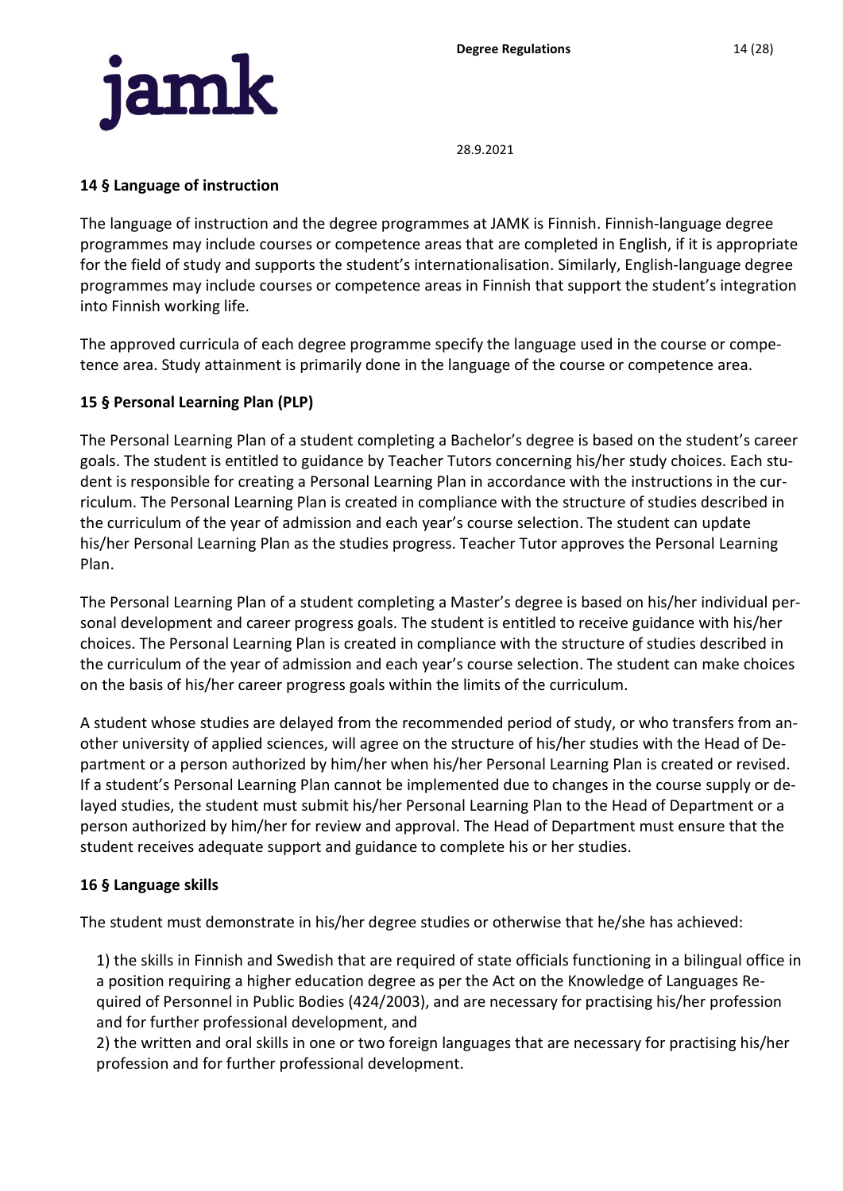

### <span id="page-13-0"></span>**14 § Language of instruction**

The language of instruction and the degree programmes at JAMK is Finnish. Finnish-language degree programmes may include courses or competence areas that are completed in English, if it is appropriate for the field of study and supports the student's internationalisation. Similarly, English-language degree programmes may include courses or competence areas in Finnish that support the student's integration into Finnish working life.

The approved curricula of each degree programme specify the language used in the course or competence area. Study attainment is primarily done in the language of the course or competence area.

### <span id="page-13-1"></span>**15 § Personal Learning Plan (PLP)**

The Personal Learning Plan of a student completing a Bachelor's degree is based on the student's career goals. The student is entitled to guidance by Teacher Tutors concerning his/her study choices. Each student is responsible for creating a Personal Learning Plan in accordance with the instructions in the curriculum. The Personal Learning Plan is created in compliance with the structure of studies described in the curriculum of the year of admission and each year's course selection. The student can update his/her Personal Learning Plan as the studies progress. Teacher Tutor approves the Personal Learning Plan.

The Personal Learning Plan of a student completing a Master's degree is based on his/her individual personal development and career progress goals. The student is entitled to receive guidance with his/her choices. The Personal Learning Plan is created in compliance with the structure of studies described in the curriculum of the year of admission and each year's course selection. The student can make choices on the basis of his/her career progress goals within the limits of the curriculum.

A student whose studies are delayed from the recommended period of study, or who transfers from another university of applied sciences, will agree on the structure of his/her studies with the Head of Department or a person authorized by him/her when his/her Personal Learning Plan is created or revised. If a student's Personal Learning Plan cannot be implemented due to changes in the course supply or delayed studies, the student must submit his/her Personal Learning Plan to the Head of Department or a person authorized by him/her for review and approval. The Head of Department must ensure that the student receives adequate support and guidance to complete his or her studies.

# <span id="page-13-2"></span>**16 § Language skills**

The student must demonstrate in his/her degree studies or otherwise that he/she has achieved:

1) the skills in Finnish and Swedish that are required of state officials functioning in a bilingual office in a position requiring a higher education degree as per the Act on the Knowledge of Languages Required of Personnel in Public Bodies (424/2003), and are necessary for practising his/her profession and for further professional development, and

2) the written and oral skills in one or two foreign languages that are necessary for practising his/her profession and for further professional development.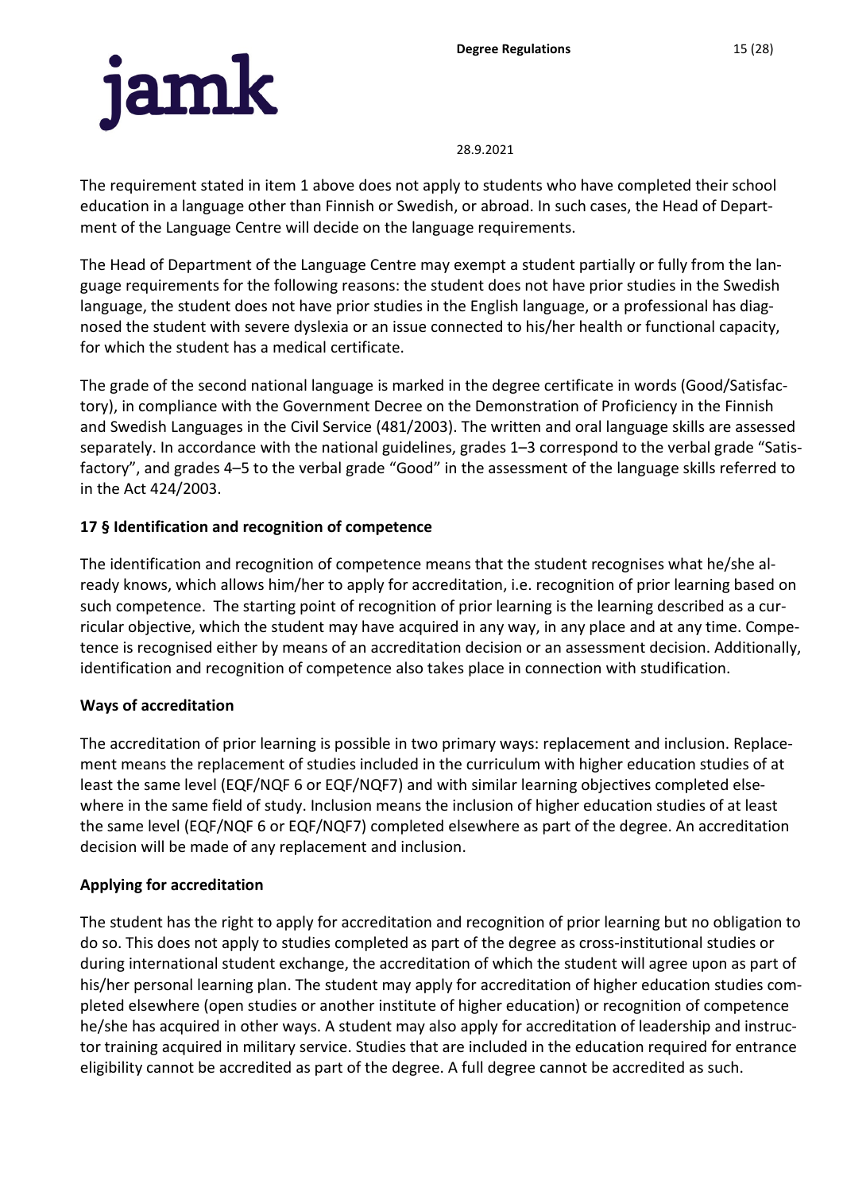

The requirement stated in item 1 above does not apply to students who have completed their school education in a language other than Finnish or Swedish, or abroad. In such cases, the Head of Department of the Language Centre will decide on the language requirements.

The Head of Department of the Language Centre may exempt a student partially or fully from the language requirements for the following reasons: the student does not have prior studies in the Swedish language, the student does not have prior studies in the English language, or a professional has diagnosed the student with severe dyslexia or an issue connected to his/her health or functional capacity, for which the student has a medical certificate.

The grade of the second national language is marked in the degree certificate in words (Good/Satisfactory), in compliance with the Government Decree on the Demonstration of Proficiency in the Finnish and Swedish Languages in the Civil Service (481/2003). The written and oral language skills are assessed separately. In accordance with the national guidelines, grades 1–3 correspond to the verbal grade "Satisfactory", and grades 4–5 to the verbal grade "Good" in the assessment of the language skills referred to in the Act 424/2003.

# <span id="page-14-0"></span>**17 § Identification and recognition of competence**

The identification and recognition of competence means that the student recognises what he/she already knows, which allows him/her to apply for accreditation, i.e. recognition of prior learning based on such competence. The starting point of recognition of prior learning is the learning described as a curricular objective, which the student may have acquired in any way, in any place and at any time. Competence is recognised either by means of an accreditation decision or an assessment decision. Additionally, identification and recognition of competence also takes place in connection with studification.

# <span id="page-14-1"></span>**Ways of accreditation**

The accreditation of prior learning is possible in two primary ways: replacement and inclusion. Replacement means the replacement of studies included in the curriculum with higher education studies of at least the same level (EQF/NQF 6 or EQF/NQF7) and with similar learning objectives completed elsewhere in the same field of study. Inclusion means the inclusion of higher education studies of at least the same level (EQF/NQF 6 or EQF/NQF7) completed elsewhere as part of the degree. An accreditation decision will be made of any replacement and inclusion.

# <span id="page-14-2"></span>**Applying for accreditation**

The student has the right to apply for accreditation and recognition of prior learning but no obligation to do so. This does not apply to studies completed as part of the degree as cross-institutional studies or during international student exchange, the accreditation of which the student will agree upon as part of his/her personal learning plan. The student may apply for accreditation of higher education studies completed elsewhere (open studies or another institute of higher education) or recognition of competence he/she has acquired in other ways. A student may also apply for accreditation of leadership and instructor training acquired in military service. Studies that are included in the education required for entrance eligibility cannot be accredited as part of the degree. A full degree cannot be accredited as such.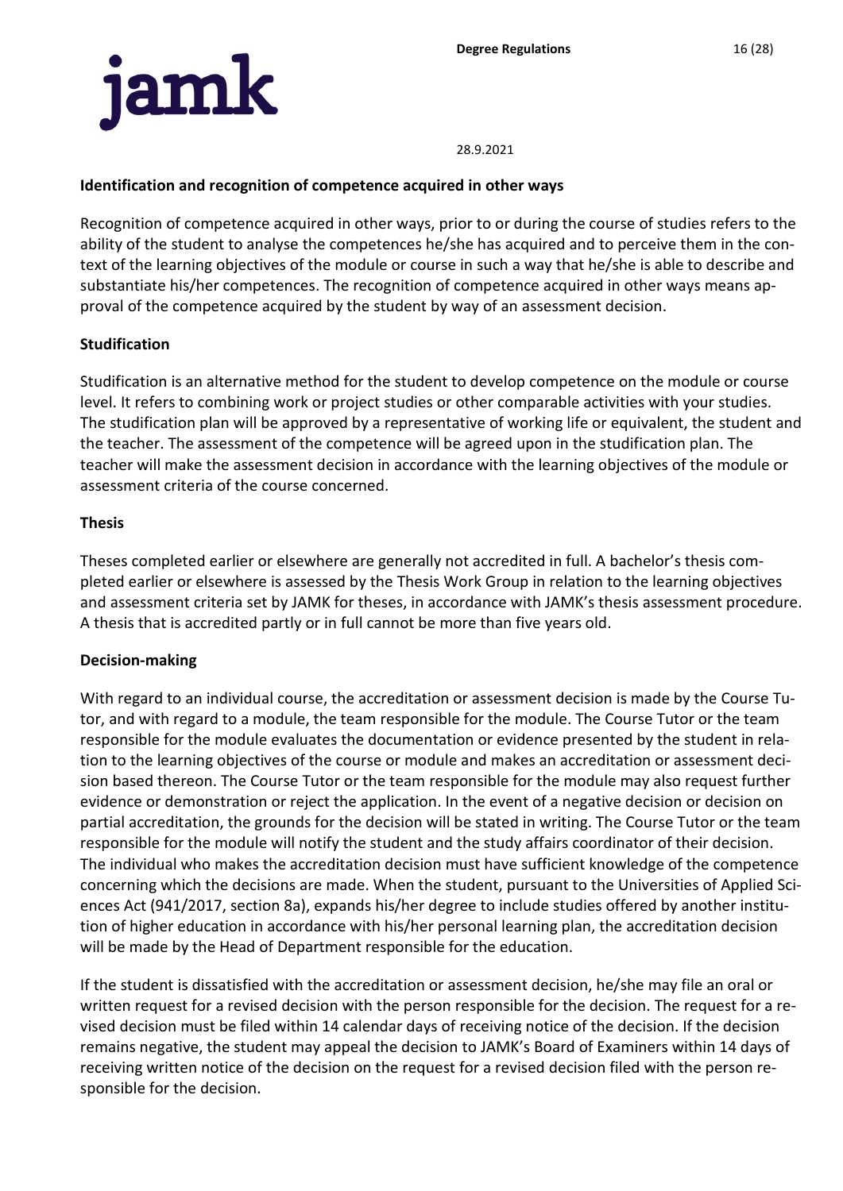

### <span id="page-15-0"></span>**Identification and recognition of competence acquired in other ways**

Recognition of competence acquired in other ways, prior to or during the course of studies refers to the ability of the student to analyse the competences he/she has acquired and to perceive them in the context of the learning objectives of the module or course in such a way that he/she is able to describe and substantiate his/her competences. The recognition of competence acquired in other ways means approval of the competence acquired by the student by way of an assessment decision.

### <span id="page-15-1"></span>**Studification**

Studification is an alternative method for the student to develop competence on the module or course level. It refers to combining work or project studies or other comparable activities with your studies. The studification plan will be approved by a representative of working life or equivalent, the student and the teacher. The assessment of the competence will be agreed upon in the studification plan. The teacher will make the assessment decision in accordance with the learning objectives of the module or assessment criteria of the course concerned.

#### <span id="page-15-2"></span>**Thesis**

Theses completed earlier or elsewhere are generally not accredited in full. A bachelor's thesis completed earlier or elsewhere is assessed by the Thesis Work Group in relation to the learning objectives and assessment criteria set by JAMK for theses, in accordance with JAMK's thesis assessment procedure. A thesis that is accredited partly or in full cannot be more than five years old.

#### <span id="page-15-3"></span>**Decision-making**

With regard to an individual course, the accreditation or assessment decision is made by the Course Tutor, and with regard to a module, the team responsible for the module. The Course Tutor or the team responsible for the module evaluates the documentation or evidence presented by the student in relation to the learning objectives of the course or module and makes an accreditation or assessment decision based thereon. The Course Tutor or the team responsible for the module may also request further evidence or demonstration or reject the application. In the event of a negative decision or decision on partial accreditation, the grounds for the decision will be stated in writing. The Course Tutor or the team responsible for the module will notify the student and the study affairs coordinator of their decision. The individual who makes the accreditation decision must have sufficient knowledge of the competence concerning which the decisions are made. When the student, pursuant to the Universities of Applied Sciences Act (941/2017, section 8a), expands his/her degree to include studies offered by another institution of higher education in accordance with his/her personal learning plan, the accreditation decision will be made by the Head of Department responsible for the education.

If the student is dissatisfied with the accreditation or assessment decision, he/she may file an oral or written request for a revised decision with the person responsible for the decision. The request for a revised decision must be filed within 14 calendar days of receiving notice of the decision. If the decision remains negative, the student may appeal the decision to JAMK's Board of Examiners within 14 days of receiving written notice of the decision on the request for a revised decision filed with the person responsible for the decision.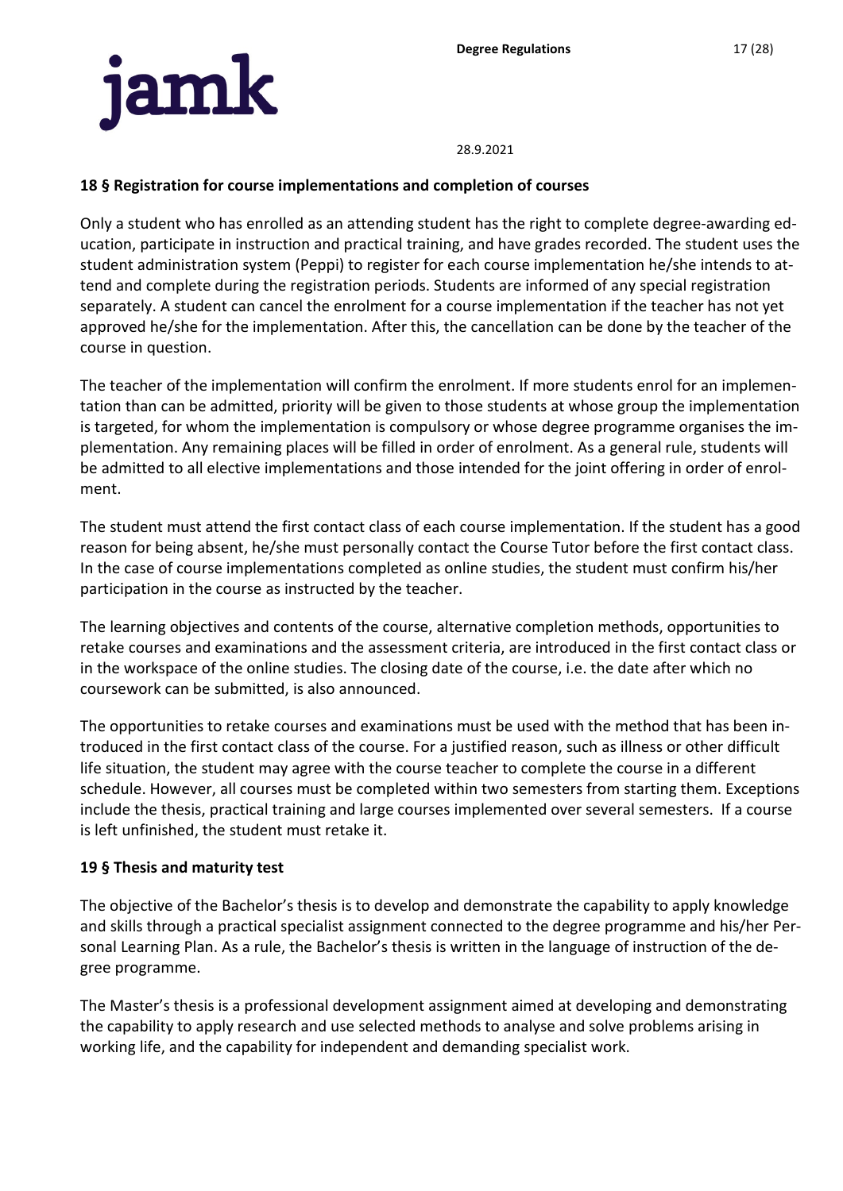

### <span id="page-16-0"></span>**18 § Registration for course implementations and completion of courses**

Only a student who has enrolled as an attending student has the right to complete degree-awarding education, participate in instruction and practical training, and have grades recorded. The student uses the student administration system (Peppi) to register for each course implementation he/she intends to attend and complete during the registration periods. Students are informed of any special registration separately. A student can cancel the enrolment for a course implementation if the teacher has not yet approved he/she for the implementation. After this, the cancellation can be done by the teacher of the course in question.

The teacher of the implementation will confirm the enrolment. If more students enrol for an implementation than can be admitted, priority will be given to those students at whose group the implementation is targeted, for whom the implementation is compulsory or whose degree programme organises the implementation. Any remaining places will be filled in order of enrolment. As a general rule, students will be admitted to all elective implementations and those intended for the joint offering in order of enrolment.

The student must attend the first contact class of each course implementation. If the student has a good reason for being absent, he/she must personally contact the Course Tutor before the first contact class. In the case of course implementations completed as online studies, the student must confirm his/her participation in the course as instructed by the teacher.

The learning objectives and contents of the course, alternative completion methods, opportunities to retake courses and examinations and the assessment criteria, are introduced in the first contact class or in the workspace of the online studies. The closing date of the course, i.e. the date after which no coursework can be submitted, is also announced.

The opportunities to retake courses and examinations must be used with the method that has been introduced in the first contact class of the course. For a justified reason, such as illness or other difficult life situation, the student may agree with the course teacher to complete the course in a different schedule. However, all courses must be completed within two semesters from starting them. Exceptions include the thesis, practical training and large courses implemented over several semesters. If a course is left unfinished, the student must retake it.

# <span id="page-16-1"></span>**19 § Thesis and maturity test**

The objective of the Bachelor's thesis is to develop and demonstrate the capability to apply knowledge and skills through a practical specialist assignment connected to the degree programme and his/her Personal Learning Plan. As a rule, the Bachelor's thesis is written in the language of instruction of the degree programme.

The Master's thesis is a professional development assignment aimed at developing and demonstrating the capability to apply research and use selected methods to analyse and solve problems arising in working life, and the capability for independent and demanding specialist work.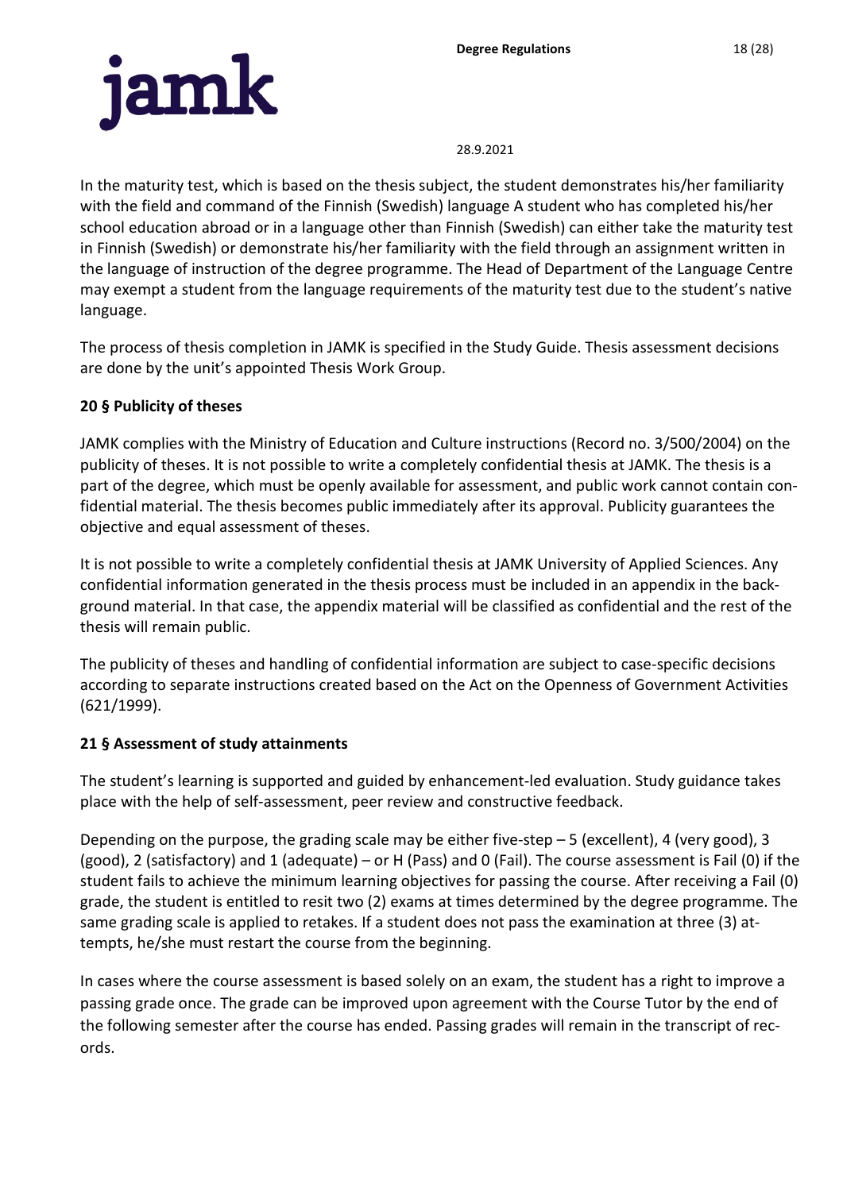

In the maturity test, which is based on the thesis subject, the student demonstrates his/her familiarity with the field and command of the Finnish (Swedish) language A student who has completed his/her school education abroad or in a language other than Finnish (Swedish) can either take the maturity test in Finnish (Swedish) or demonstrate his/her familiarity with the field through an assignment written in the language of instruction of the degree programme. The Head of Department of the Language Centre may exempt a student from the language requirements of the maturity test due to the student's native language.

The process of thesis completion in JAMK is specified in the Study Guide. Thesis assessment decisions are done by the unit's appointed Thesis Work Group.

# <span id="page-17-0"></span>**20 § Publicity of theses**

JAMK complies with the Ministry of Education and Culture instructions (Record no. 3/500/2004) on the publicity of theses. It is not possible to write a completely confidential thesis at JAMK. The thesis is a part of the degree, which must be openly available for assessment, and public work cannot contain confidential material. The thesis becomes public immediately after its approval. Publicity guarantees the objective and equal assessment of theses.

It is not possible to write a completely confidential thesis at JAMK University of Applied Sciences. Any confidential information generated in the thesis process must be included in an appendix in the background material. In that case, the appendix material will be classified as confidential and the rest of the thesis will remain public.

The publicity of theses and handling of confidential information are subject to case-specific decisions according to separate instructions created based on the Act on the Openness of Government Activities (621/1999).

# <span id="page-17-1"></span>**21 § Assessment of study attainments**

The student's learning is supported and guided by enhancement-led evaluation. Study guidance takes place with the help of self-assessment, peer review and constructive feedback.

Depending on the purpose, the grading scale may be either five-step  $-5$  (excellent), 4 (very good), 3 (good), 2 (satisfactory) and 1 (adequate) – or H (Pass) and 0 (Fail). The course assessment is Fail (0) if the student fails to achieve the minimum learning objectives for passing the course. After receiving a Fail (0) grade, the student is entitled to resit two (2) exams at times determined by the degree programme. The same grading scale is applied to retakes. If a student does not pass the examination at three (3) attempts, he/she must restart the course from the beginning.

In cases where the course assessment is based solely on an exam, the student has a right to improve a passing grade once. The grade can be improved upon agreement with the Course Tutor by the end of the following semester after the course has ended. Passing grades will remain in the transcript of records.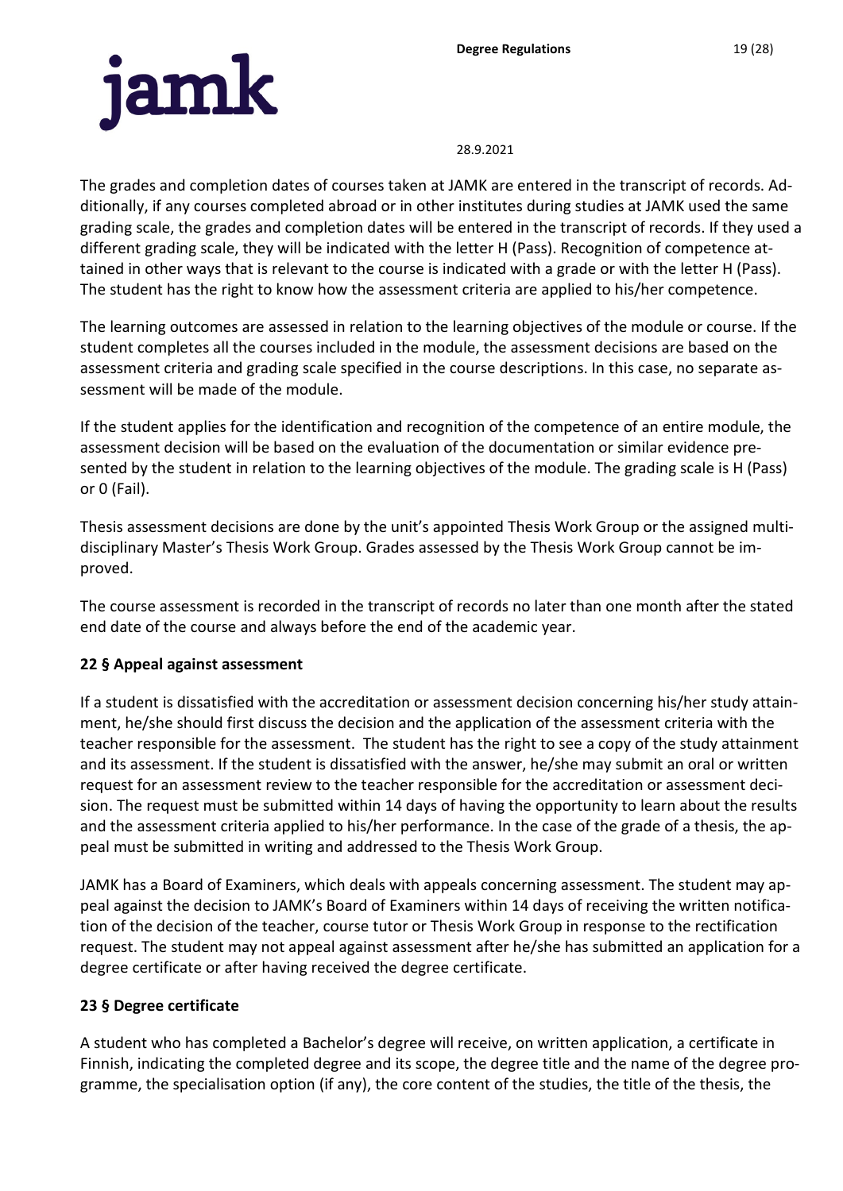

The grades and completion dates of courses taken at JAMK are entered in the transcript of records. Additionally, if any courses completed abroad or in other institutes during studies at JAMK used the same grading scale, the grades and completion dates will be entered in the transcript of records. If they used a different grading scale, they will be indicated with the letter H (Pass). Recognition of competence attained in other ways that is relevant to the course is indicated with a grade or with the letter H (Pass). The student has the right to know how the assessment criteria are applied to his/her competence.

The learning outcomes are assessed in relation to the learning objectives of the module or course. If the student completes all the courses included in the module, the assessment decisions are based on the assessment criteria and grading scale specified in the course descriptions. In this case, no separate assessment will be made of the module.

If the student applies for the identification and recognition of the competence of an entire module, the assessment decision will be based on the evaluation of the documentation or similar evidence presented by the student in relation to the learning objectives of the module. The grading scale is H (Pass) or 0 (Fail).

Thesis assessment decisions are done by the unit's appointed Thesis Work Group or the assigned multidisciplinary Master's Thesis Work Group. Grades assessed by the Thesis Work Group cannot be improved.

The course assessment is recorded in the transcript of records no later than one month after the stated end date of the course and always before the end of the academic year.

# <span id="page-18-0"></span>**22 § Appeal against assessment**

If a student is dissatisfied with the accreditation or assessment decision concerning his/her study attainment, he/she should first discuss the decision and the application of the assessment criteria with the teacher responsible for the assessment. The student has the right to see a copy of the study attainment and its assessment. If the student is dissatisfied with the answer, he/she may submit an oral or written request for an assessment review to the teacher responsible for the accreditation or assessment decision. The request must be submitted within 14 days of having the opportunity to learn about the results and the assessment criteria applied to his/her performance. In the case of the grade of a thesis, the appeal must be submitted in writing and addressed to the Thesis Work Group.

JAMK has a Board of Examiners, which deals with appeals concerning assessment. The student may appeal against the decision to JAMK's Board of Examiners within 14 days of receiving the written notification of the decision of the teacher, course tutor or Thesis Work Group in response to the rectification request. The student may not appeal against assessment after he/she has submitted an application for a degree certificate or after having received the degree certificate.

# <span id="page-18-1"></span>**23 § Degree certificate**

A student who has completed a Bachelor's degree will receive, on written application, a certificate in Finnish, indicating the completed degree and its scope, the degree title and the name of the degree programme, the specialisation option (if any), the core content of the studies, the title of the thesis, the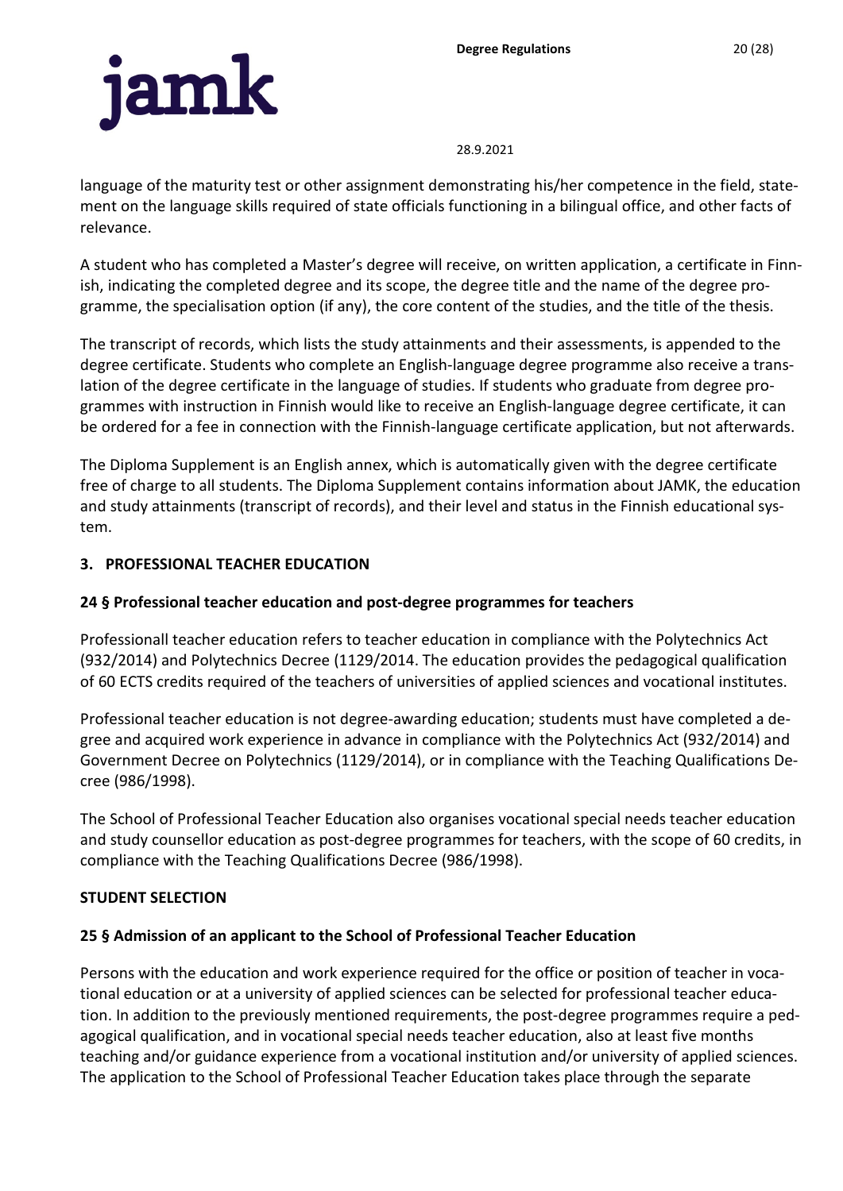

language of the maturity test or other assignment demonstrating his/her competence in the field, statement on the language skills required of state officials functioning in a bilingual office, and other facts of relevance.

A student who has completed a Master's degree will receive, on written application, a certificate in Finnish, indicating the completed degree and its scope, the degree title and the name of the degree programme, the specialisation option (if any), the core content of the studies, and the title of the thesis.

The transcript of records, which lists the study attainments and their assessments, is appended to the degree certificate. Students who complete an English-language degree programme also receive a translation of the degree certificate in the language of studies. If students who graduate from degree programmes with instruction in Finnish would like to receive an English-language degree certificate, it can be ordered for a fee in connection with the Finnish-language certificate application, but not afterwards.

The Diploma Supplement is an English annex, which is automatically given with the degree certificate free of charge to all students. The Diploma Supplement contains information about JAMK, the education and study attainments (transcript of records), and their level and status in the Finnish educational system.

# <span id="page-19-0"></span>**3. PROFESSIONAL TEACHER EDUCATION**

# <span id="page-19-1"></span>**24 § Professional teacher education and post-degree programmes for teachers**

Professionall teacher education refers to teacher education in compliance with the Polytechnics Act (932/2014) and Polytechnics Decree (1129/2014. The education provides the pedagogical qualification of 60 ECTS credits required of the teachers of universities of applied sciences and vocational institutes.

Professional teacher education is not degree-awarding education; students must have completed a degree and acquired work experience in advance in compliance with the Polytechnics Act (932/2014) and Government Decree on Polytechnics (1129/2014), or in compliance with the Teaching Qualifications Decree (986/1998).

The School of Professional Teacher Education also organises vocational special needs teacher education and study counsellor education as post-degree programmes for teachers, with the scope of 60 credits, in compliance with the Teaching Qualifications Decree (986/1998).

# <span id="page-19-2"></span>**STUDENT SELECTION**

# <span id="page-19-3"></span>**25 § Admission of an applicant to the School of Professional Teacher Education**

Persons with the education and work experience required for the office or position of teacher in vocational education or at a university of applied sciences can be selected for professional teacher education. In addition to the previously mentioned requirements, the post-degree programmes require a pedagogical qualification, and in vocational special needs teacher education, also at least five months teaching and/or guidance experience from a vocational institution and/or university of applied sciences. The application to the School of Professional Teacher Education takes place through the separate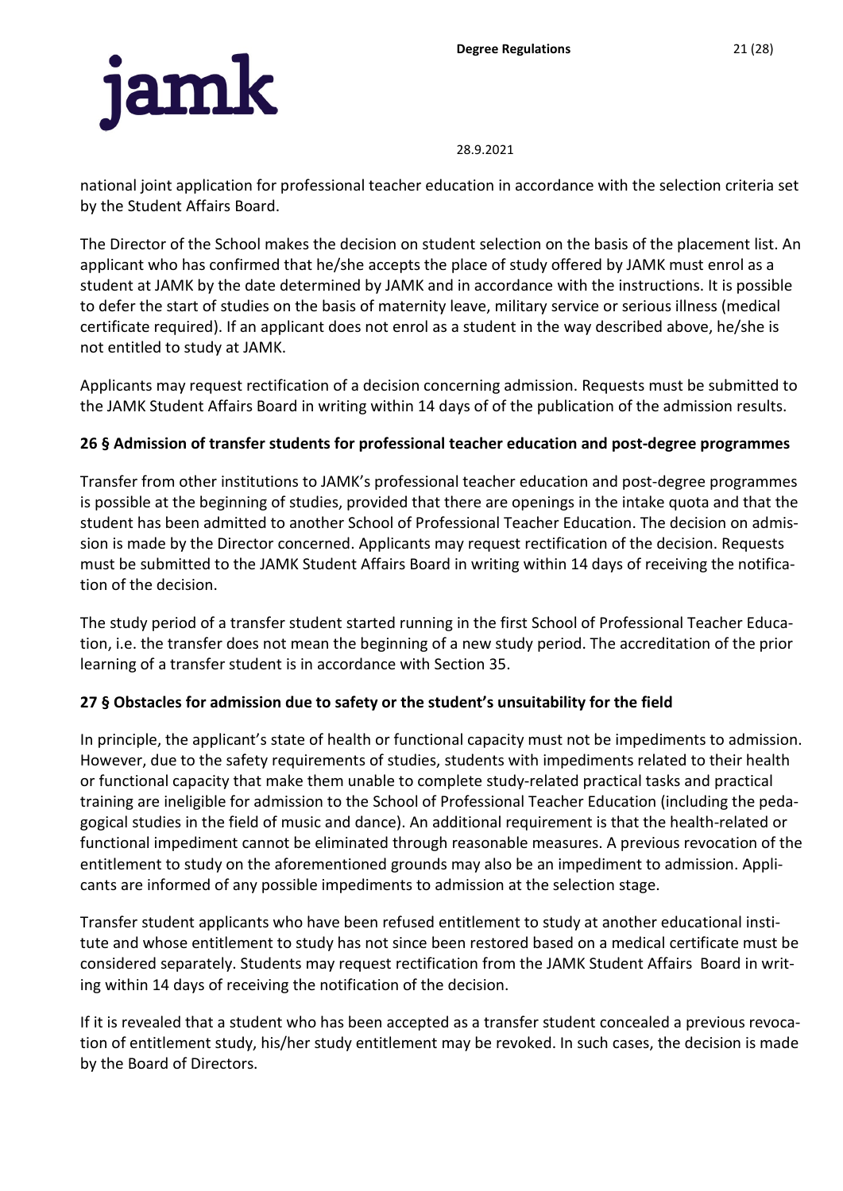

national joint application for professional teacher education in accordance with the selection criteria set by the Student Affairs Board.

The Director of the School makes the decision on student selection on the basis of the placement list. An applicant who has confirmed that he/she accepts the place of study offered by JAMK must enrol as a student at JAMK by the date determined by JAMK and in accordance with the instructions. It is possible to defer the start of studies on the basis of maternity leave, military service or serious illness (medical certificate required). If an applicant does not enrol as a student in the way described above, he/she is not entitled to study at JAMK.

Applicants may request rectification of a decision concerning admission. Requests must be submitted to the JAMK Student Affairs Board in writing within 14 days of of the publication of the admission results.

# <span id="page-20-0"></span>**26 § Admission of transfer students for professional teacher education and post-degree programmes**

Transfer from other institutions to JAMK's professional teacher education and post-degree programmes is possible at the beginning of studies, provided that there are openings in the intake quota and that the student has been admitted to another School of Professional Teacher Education. The decision on admission is made by the Director concerned. Applicants may request rectification of the decision. Requests must be submitted to the JAMK Student Affairs Board in writing within 14 days of receiving the notification of the decision.

The study period of a transfer student started running in the first School of Professional Teacher Education, i.e. the transfer does not mean the beginning of a new study period. The accreditation of the prior learning of a transfer student is in accordance with Section 35.

# <span id="page-20-1"></span>**27 § Obstacles for admission due to safety or the student's unsuitability for the field**

In principle, the applicant's state of health or functional capacity must not be impediments to admission. However, due to the safety requirements of studies, students with impediments related to their health or functional capacity that make them unable to complete study-related practical tasks and practical training are ineligible for admission to the School of Professional Teacher Education (including the pedagogical studies in the field of music and dance). An additional requirement is that the health-related or functional impediment cannot be eliminated through reasonable measures. A previous revocation of the entitlement to study on the aforementioned grounds may also be an impediment to admission. Applicants are informed of any possible impediments to admission at the selection stage.

Transfer student applicants who have been refused entitlement to study at another educational institute and whose entitlement to study has not since been restored based on a medical certificate must be considered separately. Students may request rectification from the JAMK Student Affairs Board in writing within 14 days of receiving the notification of the decision.

If it is revealed that a student who has been accepted as a transfer student concealed a previous revocation of entitlement study, his/her study entitlement may be revoked. In such cases, the decision is made by the Board of Directors.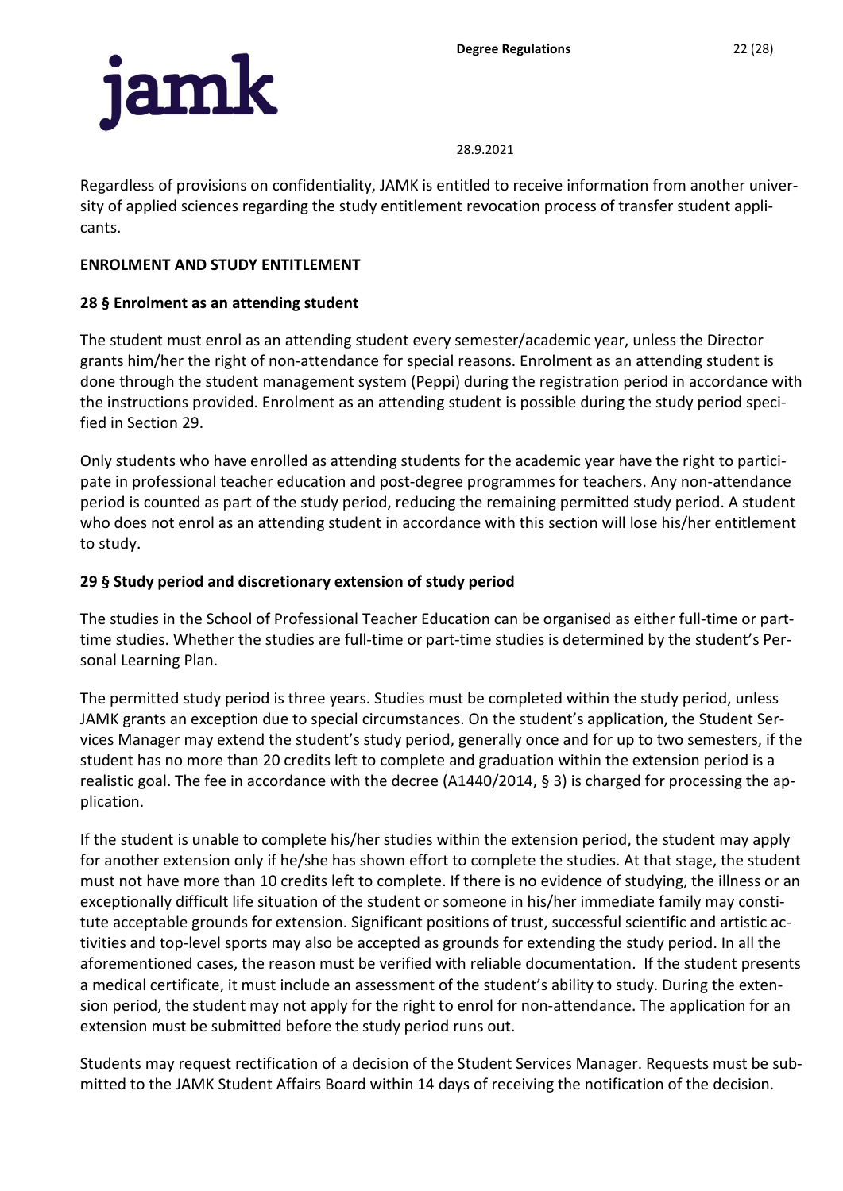Regardless of provisions on confidentiality, JAMK is entitled to receive information from another university of applied sciences regarding the study entitlement revocation process of transfer student applicants.

# <span id="page-21-0"></span>**ENROLMENT AND STUDY ENTITLEMENT**

# <span id="page-21-1"></span>**28 § Enrolment as an attending student**

The student must enrol as an attending student every semester/academic year, unless the Director grants him/her the right of non-attendance for special reasons. Enrolment as an attending student is done through the student management system (Peppi) during the registration period in accordance with the instructions provided. Enrolment as an attending student is possible during the study period specified in Section 29.

Only students who have enrolled as attending students for the academic year have the right to participate in professional teacher education and post-degree programmes for teachers. Any non-attendance period is counted as part of the study period, reducing the remaining permitted study period. A student who does not enrol as an attending student in accordance with this section will lose his/her entitlement to study.

# <span id="page-21-2"></span>**29 § Study period and discretionary extension of study period**

The studies in the School of Professional Teacher Education can be organised as either full-time or parttime studies. Whether the studies are full-time or part-time studies is determined by the student's Personal Learning Plan.

The permitted study period is three years. Studies must be completed within the study period, unless JAMK grants an exception due to special circumstances. On the student's application, the Student Services Manager may extend the student's study period, generally once and for up to two semesters, if the student has no more than 20 credits left to complete and graduation within the extension period is a realistic goal. The fee in accordance with the decree (A1440/2014, § 3) is charged for processing the application.

If the student is unable to complete his/her studies within the extension period, the student may apply for another extension only if he/she has shown effort to complete the studies. At that stage, the student must not have more than 10 credits left to complete. If there is no evidence of studying, the illness or an exceptionally difficult life situation of the student or someone in his/her immediate family may constitute acceptable grounds for extension. Significant positions of trust, successful scientific and artistic activities and top-level sports may also be accepted as grounds for extending the study period. In all the aforementioned cases, the reason must be verified with reliable documentation. If the student presents a medical certificate, it must include an assessment of the student's ability to study. During the extension period, the student may not apply for the right to enrol for non-attendance. The application for an extension must be submitted before the study period runs out.

Students may request rectification of a decision of the Student Services Manager. Requests must be submitted to the JAMK Student Affairs Board within 14 days of receiving the notification of the decision.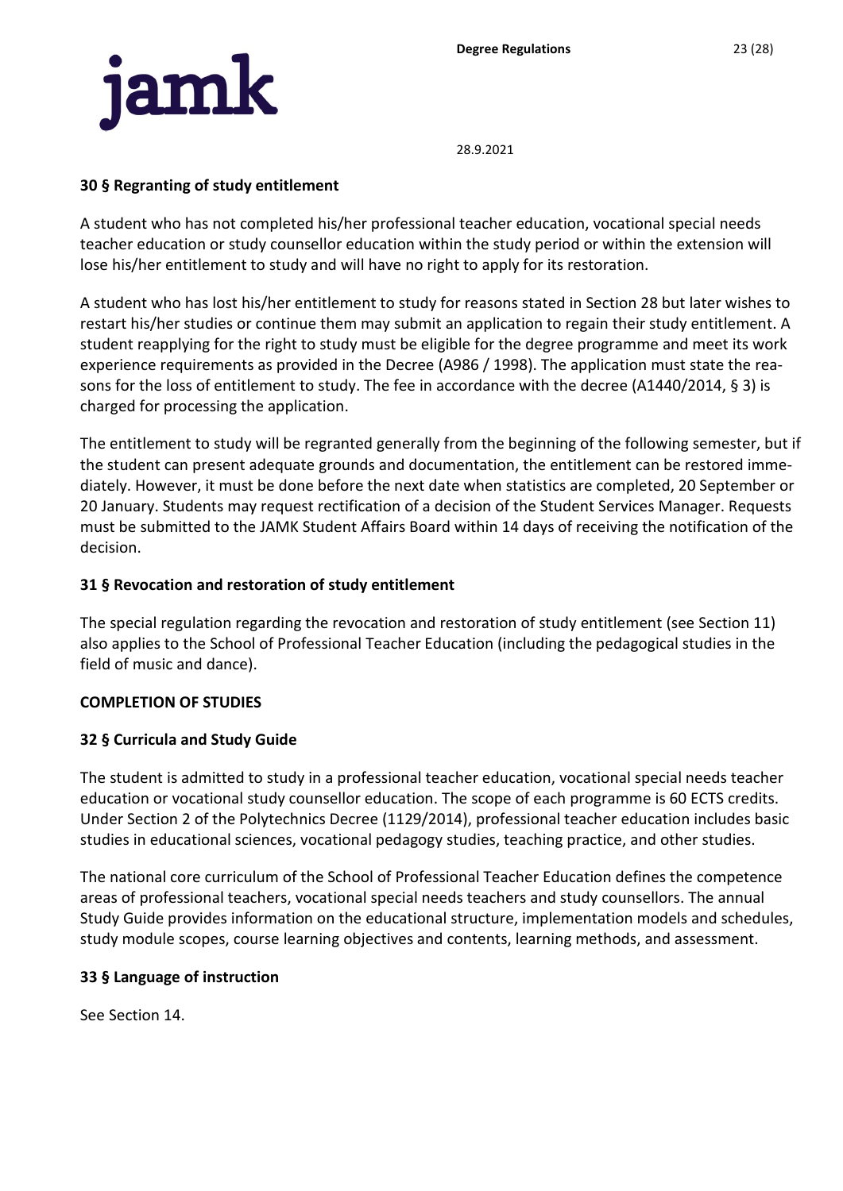

#### <span id="page-22-0"></span>**30 § Regranting of study entitlement**

A student who has not completed his/her professional teacher education, vocational special needs teacher education or study counsellor education within the study period or within the extension will lose his/her entitlement to study and will have no right to apply for its restoration.

A student who has lost his/her entitlement to study for reasons stated in Section 28 but later wishes to restart his/her studies or continue them may submit an application to regain their study entitlement. A student reapplying for the right to study must be eligible for the degree programme and meet its work experience requirements as provided in the Decree (A986 / 1998). The application must state the reasons for the loss of entitlement to study. The fee in accordance with the decree (A1440/2014, § 3) is charged for processing the application.

The entitlement to study will be regranted generally from the beginning of the following semester, but if the student can present adequate grounds and documentation, the entitlement can be restored immediately. However, it must be done before the next date when statistics are completed, 20 September or 20 January. Students may request rectification of a decision of the Student Services Manager. Requests must be submitted to the JAMK Student Affairs Board within 14 days of receiving the notification of the decision.

### <span id="page-22-1"></span>**31 § Revocation and restoration of study entitlement**

The special regulation regarding the revocation and restoration of study entitlement (see Section 11) also applies to the School of Professional Teacher Education (including the pedagogical studies in the field of music and dance).

#### <span id="page-22-2"></span>**COMPLETION OF STUDIES**

#### <span id="page-22-3"></span>**32 § Curricula and Study Guide**

The student is admitted to study in a professional teacher education, vocational special needs teacher education or vocational study counsellor education. The scope of each programme is 60 ECTS credits. Under Section 2 of the Polytechnics Decree (1129/2014), professional teacher education includes basic studies in educational sciences, vocational pedagogy studies, teaching practice, and other studies.

The national core curriculum of the School of Professional Teacher Education defines the competence areas of professional teachers, vocational special needs teachers and study counsellors. The annual Study Guide provides information on the educational structure, implementation models and schedules, study module scopes, course learning objectives and contents, learning methods, and assessment.

#### <span id="page-22-4"></span>**33 § Language of instruction**

See Section 14.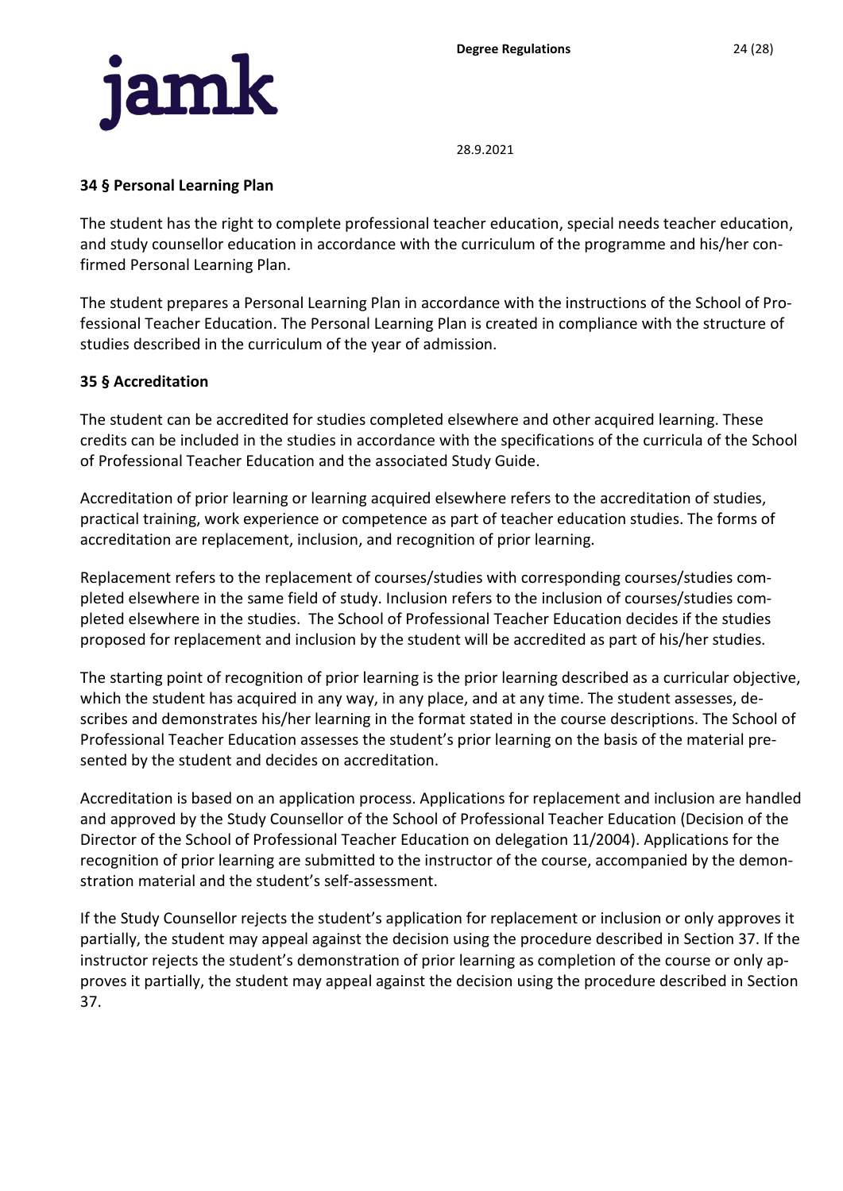

# <span id="page-23-0"></span>**34 § Personal Learning Plan**

The student has the right to complete professional teacher education, special needs teacher education, and study counsellor education in accordance with the curriculum of the programme and his/her confirmed Personal Learning Plan.

The student prepares a Personal Learning Plan in accordance with the instructions of the School of Professional Teacher Education. The Personal Learning Plan is created in compliance with the structure of studies described in the curriculum of the year of admission.

### <span id="page-23-1"></span>**35 § Accreditation**

The student can be accredited for studies completed elsewhere and other acquired learning. These credits can be included in the studies in accordance with the specifications of the curricula of the School of Professional Teacher Education and the associated Study Guide.

Accreditation of prior learning or learning acquired elsewhere refers to the accreditation of studies, practical training, work experience or competence as part of teacher education studies. The forms of accreditation are replacement, inclusion, and recognition of prior learning.

Replacement refers to the replacement of courses/studies with corresponding courses/studies completed elsewhere in the same field of study. Inclusion refers to the inclusion of courses/studies completed elsewhere in the studies. The School of Professional Teacher Education decides if the studies proposed for replacement and inclusion by the student will be accredited as part of his/her studies.

The starting point of recognition of prior learning is the prior learning described as a curricular objective, which the student has acquired in any way, in any place, and at any time. The student assesses, describes and demonstrates his/her learning in the format stated in the course descriptions. The School of Professional Teacher Education assesses the student's prior learning on the basis of the material presented by the student and decides on accreditation.

Accreditation is based on an application process. Applications for replacement and inclusion are handled and approved by the Study Counsellor of the School of Professional Teacher Education (Decision of the Director of the School of Professional Teacher Education on delegation 11/2004). Applications for the recognition of prior learning are submitted to the instructor of the course, accompanied by the demonstration material and the student's self-assessment.

If the Study Counsellor rejects the student's application for replacement or inclusion or only approves it partially, the student may appeal against the decision using the procedure described in Section 37. If the instructor rejects the student's demonstration of prior learning as completion of the course or only approves it partially, the student may appeal against the decision using the procedure described in Section 37.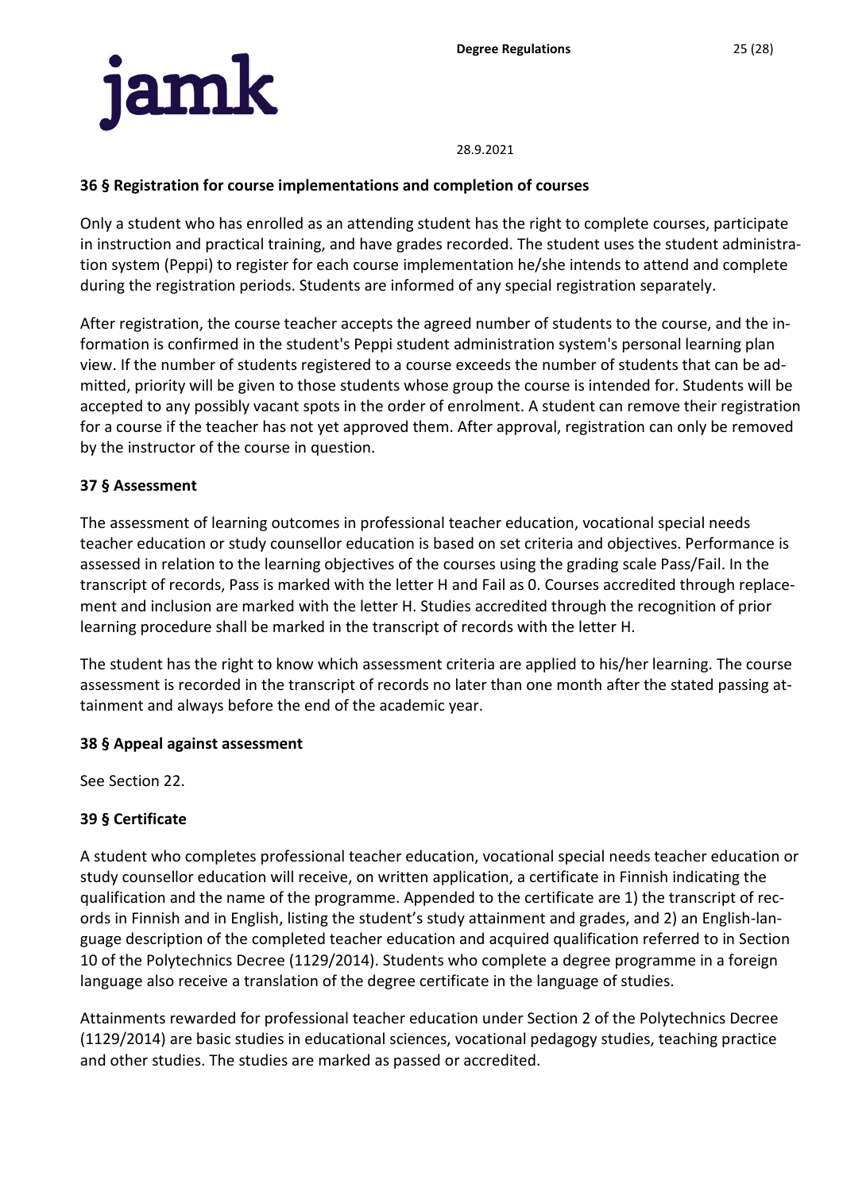

# <span id="page-24-0"></span>**36 § Registration for course implementations and completion of courses**

Only a student who has enrolled as an attending student has the right to complete courses, participate in instruction and practical training, and have grades recorded. The student uses the student administration system (Peppi) to register for each course implementation he/she intends to attend and complete during the registration periods. Students are informed of any special registration separately.

After registration, the course teacher accepts the agreed number of students to the course, and the information is confirmed in the student's Peppi student administration system's personal learning plan view. If the number of students registered to a course exceeds the number of students that can be admitted, priority will be given to those students whose group the course is intended for. Students will be accepted to any possibly vacant spots in the order of enrolment. A student can remove their registration for a course if the teacher has not yet approved them. After approval, registration can only be removed by the instructor of the course in question.

# <span id="page-24-1"></span>**37 § Assessment**

The assessment of learning outcomes in professional teacher education, vocational special needs teacher education or study counsellor education is based on set criteria and objectives. Performance is assessed in relation to the learning objectives of the courses using the grading scale Pass/Fail. In the transcript of records, Pass is marked with the letter H and Fail as 0. Courses accredited through replacement and inclusion are marked with the letter H. Studies accredited through the recognition of prior learning procedure shall be marked in the transcript of records with the letter H.

The student has the right to know which assessment criteria are applied to his/her learning. The course assessment is recorded in the transcript of records no later than one month after the stated passing attainment and always before the end of the academic year.

#### <span id="page-24-2"></span>**38 § Appeal against assessment**

See Section 22.

# <span id="page-24-3"></span>**39 § Certificate**

A student who completes professional teacher education, vocational special needs teacher education or study counsellor education will receive, on written application, a certificate in Finnish indicating the qualification and the name of the programme. Appended to the certificate are 1) the transcript of records in Finnish and in English, listing the student's study attainment and grades, and 2) an English-language description of the completed teacher education and acquired qualification referred to in Section 10 of the Polytechnics Decree (1129/2014). Students who complete a degree programme in a foreign language also receive a translation of the degree certificate in the language of studies.

Attainments rewarded for professional teacher education under Section 2 of the Polytechnics Decree (1129/2014) are basic studies in educational sciences, vocational pedagogy studies, teaching practice and other studies. The studies are marked as passed or accredited.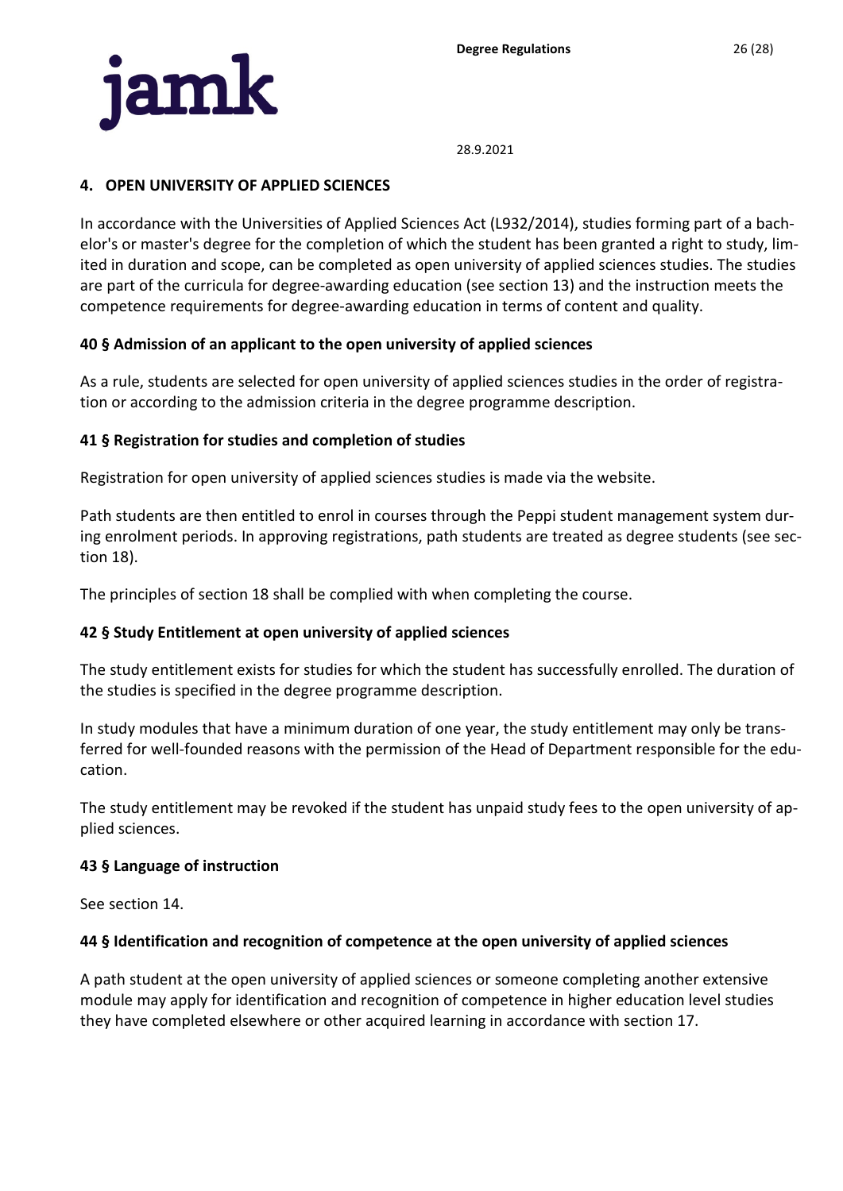

#### <span id="page-25-0"></span>**4. OPEN UNIVERSITY OF APPLIED SCIENCES**

In accordance with the Universities of Applied Sciences Act (L932/2014), studies forming part of a bachelor's or master's degree for the completion of which the student has been granted a right to study, limited in duration and scope, can be completed as open university of applied sciences studies. The studies are part of the curricula for degree-awarding education (see section 13) and the instruction meets the competence requirements for degree-awarding education in terms of content and quality.

# <span id="page-25-1"></span>**40 § Admission of an applicant to the open university of applied sciences**

As a rule, students are selected for open university of applied sciences studies in the order of registration or according to the admission criteria in the degree programme description.

### <span id="page-25-2"></span>**41 § Registration for studies and completion of studies**

Registration for open university of applied sciences studies is made via the website.

Path students are then entitled to enrol in courses through the Peppi student management system during enrolment periods. In approving registrations, path students are treated as degree students (see section 18).

The principles of section 18 shall be complied with when completing the course.

# <span id="page-25-3"></span>**42 § Study Entitlement at open university of applied sciences**

The study entitlement exists for studies for which the student has successfully enrolled. The duration of the studies is specified in the degree programme description.

In study modules that have a minimum duration of one year, the study entitlement may only be transferred for well-founded reasons with the permission of the Head of Department responsible for the education.

The study entitlement may be revoked if the student has unpaid study fees to the open university of applied sciences.

# <span id="page-25-4"></span>**43 § Language of instruction**

See section 14.

# <span id="page-25-5"></span>**44 § Identification and recognition of competence at the open university of applied sciences**

A path student at the open university of applied sciences or someone completing another extensive module may apply for identification and recognition of competence in higher education level studies they have completed elsewhere or other acquired learning in accordance with section 17.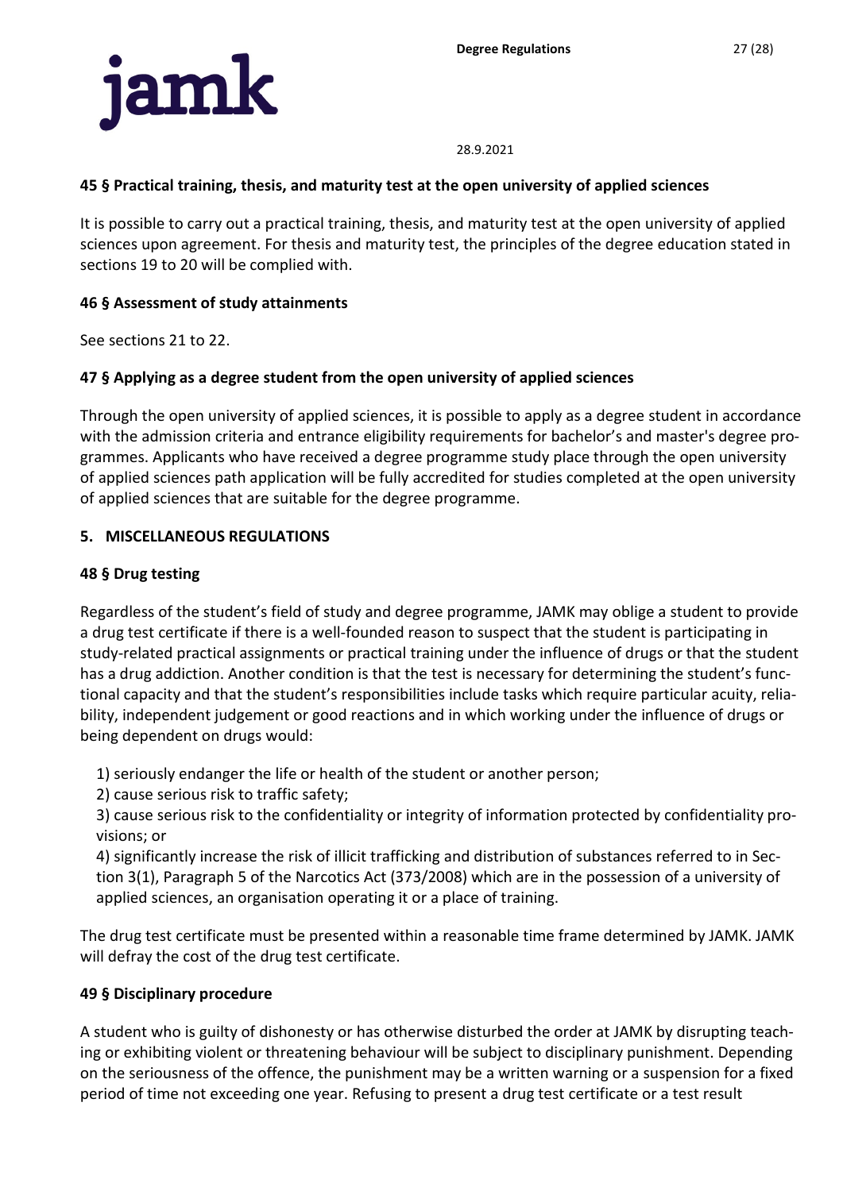

### <span id="page-26-0"></span>**45 § Practical training, thesis, and maturity test at the open university of applied sciences**

It is possible to carry out a practical training, thesis, and maturity test at the open university of applied sciences upon agreement. For thesis and maturity test, the principles of the degree education stated in sections 19 to 20 will be complied with.

### <span id="page-26-1"></span>**46 § Assessment of study attainments**

See sections 21 to 22.

# <span id="page-26-2"></span>**47 § Applying as a degree student from the open university of applied sciences**

Through the open university of applied sciences, it is possible to apply as a degree student in accordance with the admission criteria and entrance eligibility requirements for bachelor's and master's degree programmes. Applicants who have received a degree programme study place through the open university of applied sciences path application will be fully accredited for studies completed at the open university of applied sciences that are suitable for the degree programme.

### <span id="page-26-3"></span>**5. MISCELLANEOUS REGULATIONS**

#### <span id="page-26-4"></span>**48 § Drug testing**

Regardless of the student's field of study and degree programme, JAMK may oblige a student to provide a drug test certificate if there is a well-founded reason to suspect that the student is participating in study-related practical assignments or practical training under the influence of drugs or that the student has a drug addiction. Another condition is that the test is necessary for determining the student's functional capacity and that the student's responsibilities include tasks which require particular acuity, reliability, independent judgement or good reactions and in which working under the influence of drugs or being dependent on drugs would:

1) seriously endanger the life or health of the student or another person;

2) cause serious risk to traffic safety;

3) cause serious risk to the confidentiality or integrity of information protected by confidentiality provisions; or

4) significantly increase the risk of illicit trafficking and distribution of substances referred to in Section 3(1), Paragraph 5 of the Narcotics Act (373/2008) which are in the possession of a university of applied sciences, an organisation operating it or a place of training.

The drug test certificate must be presented within a reasonable time frame determined by JAMK. JAMK will defray the cost of the drug test certificate.

#### <span id="page-26-5"></span>**49 § Disciplinary procedure**

A student who is guilty of dishonesty or has otherwise disturbed the order at JAMK by disrupting teaching or exhibiting violent or threatening behaviour will be subject to disciplinary punishment. Depending on the seriousness of the offence, the punishment may be a written warning or a suspension for a fixed period of time not exceeding one year. Refusing to present a drug test certificate or a test result